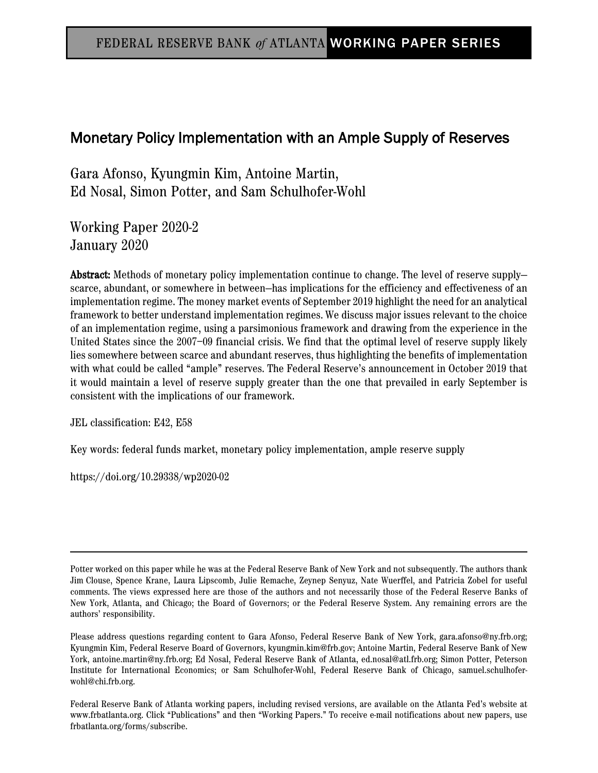# Monetary Policy Implementation with an Ample Supply of Reserves

Gara Afonso, Kyungmin Kim, Antoine Martin, Ed Nosal, Simon Potter, and Sam Schulhofer-Wohl

Working Paper 2020-2 January 2020

Abstract: Methods of monetary policy implementation continue to change. The level of reserve supplyscarce, abundant, or somewhere in between—has implications for the efficiency and effectiveness of an implementation regime. The money market events of September 2019 highlight the need for an analytical framework to better understand implementation regimes. We discuss major issues relevant to the choice of an implementation regime, using a parsimonious framework and drawing from the experience in the United States since the 2007–09 financial crisis. We find that the optimal level of reserve supply likely lies somewhere between scarce and abundant reserves, thus highlighting the benefits of implementation with what could be called "ample" reserves. The Federal Reserve's announcement in October 2019 that it would maintain a level of reserve supply greater than the one that prevailed in early September is consistent with the implications of our framework.

JEL classification: E42, E58

Key words: federal funds market, monetary policy implementation, ample reserve supply

https://doi.org/10.29338/wp2020-02

Federal Reserve Bank of Atlanta working papers, including revised versions, are available on the Atlanta Fed's website at www.frbatlanta.org. Click "Publications" and then "Working Papers." To receive e-mail notifications about new papers, use frbatlanta.org/forms/subscribe.

Potter worked on this paper while he was at the Federal Reserve Bank of New York and not subsequently. The authors thank Jim Clouse, Spence Krane, Laura Lipscomb, Julie Remache, Zeynep Senyuz, Nate Wuerffel, and Patricia Zobel for useful comments. The views expressed here are those of the authors and not necessarily those of the Federal Reserve Banks of New York, Atlanta, and Chicago; the Board of Governors; or the Federal Reserve System. Any remaining errors are the authors' responsibility.

Please address questions regarding content to Gara Afonso, Federal Reserve Bank of New York, gara.afonso@ny.frb.org; Kyungmin Kim, Federal Reserve Board of Governors, kyungmin.kim@frb.gov; Antoine Martin, Federal Reserve Bank of New York, antoine.martin@ny.frb.org; Ed Nosal, Federal Reserve Bank of Atlanta, ed.nosal@atl.frb.org; Simon Potter, Peterson Institute for International Economics; or Sam Schulhofer-Wohl, Federal Reserve Bank of Chicago, samuel.schulhoferwohl@chi.frb.org.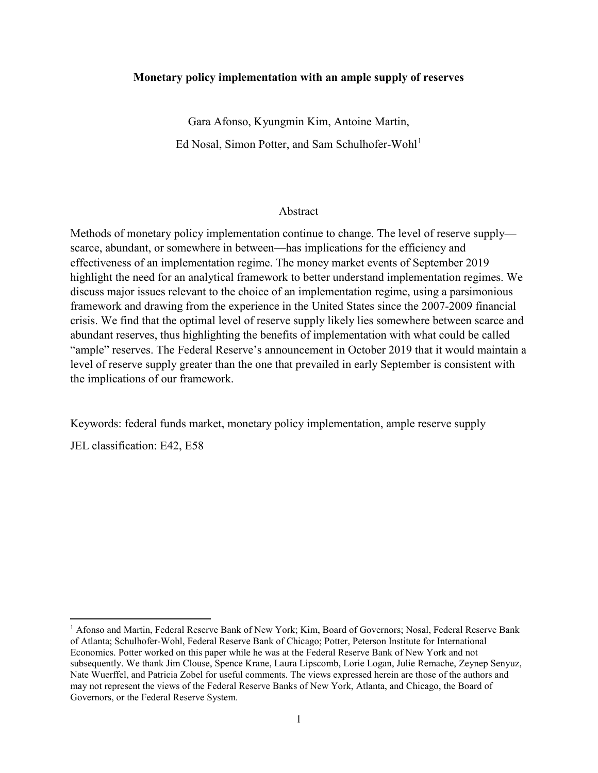#### **Monetary policy implementation with an ample supply of reserves**

Gara Afonso, Kyungmin Kim, Antoine Martin, Ed Nosal, Simon Potter, and Sam Schulhofer-Wohl<sup>[1](#page-1-0)</sup>

#### Abstract

Methods of monetary policy implementation continue to change. The level of reserve supply scarce, abundant, or somewhere in between—has implications for the efficiency and effectiveness of an implementation regime. The money market events of September 2019 highlight the need for an analytical framework to better understand implementation regimes. We discuss major issues relevant to the choice of an implementation regime, using a parsimonious framework and drawing from the experience in the United States since the 2007-2009 financial crisis. We find that the optimal level of reserve supply likely lies somewhere between scarce and abundant reserves, thus highlighting the benefits of implementation with what could be called "ample" reserves. The Federal Reserve's announcement in October 2019 that it would maintain a level of reserve supply greater than the one that prevailed in early September is consistent with the implications of our framework.

Keywords: federal funds market, monetary policy implementation, ample reserve supply

JEL classification: E42, E58

l

<span id="page-1-0"></span><sup>&</sup>lt;sup>1</sup> Afonso and Martin, Federal Reserve Bank of New York; Kim, Board of Governors; Nosal, Federal Reserve Bank of Atlanta; Schulhofer-Wohl, Federal Reserve Bank of Chicago; Potter, Peterson Institute for International Economics. Potter worked on this paper while he was at the Federal Reserve Bank of New York and not subsequently. We thank Jim Clouse, Spence Krane, Laura Lipscomb, Lorie Logan, Julie Remache, Zeynep Senyuz, Nate Wuerffel, and Patricia Zobel for useful comments. The views expressed herein are those of the authors and may not represent the views of the Federal Reserve Banks of New York, Atlanta, and Chicago, the Board of Governors, or the Federal Reserve System.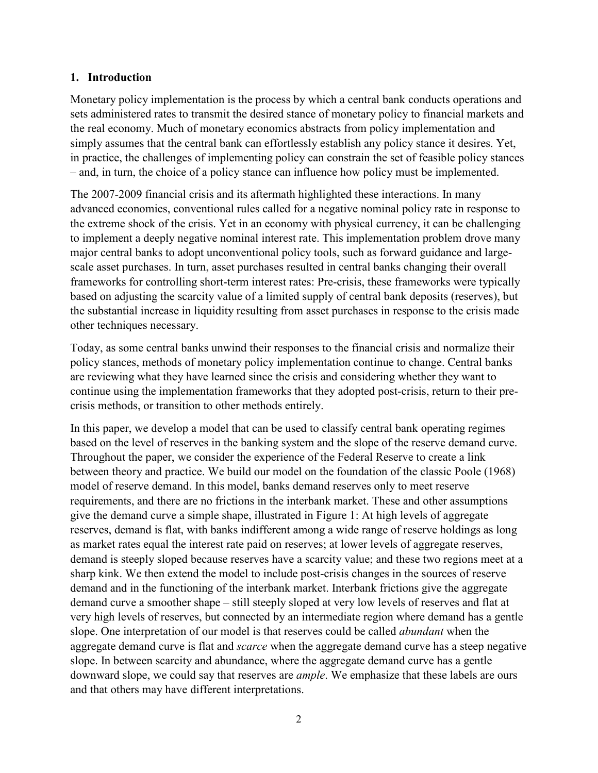### **1. Introduction**

Monetary policy implementation is the process by which a central bank conducts operations and sets administered rates to transmit the desired stance of monetary policy to financial markets and the real economy. Much of monetary economics abstracts from policy implementation and simply assumes that the central bank can effortlessly establish any policy stance it desires. Yet, in practice, the challenges of implementing policy can constrain the set of feasible policy stances – and, in turn, the choice of a policy stance can influence how policy must be implemented.

The 2007-2009 financial crisis and its aftermath highlighted these interactions. In many advanced economies, conventional rules called for a negative nominal policy rate in response to the extreme shock of the crisis. Yet in an economy with physical currency, it can be challenging to implement a deeply negative nominal interest rate. This implementation problem drove many major central banks to adopt unconventional policy tools, such as forward guidance and largescale asset purchases. In turn, asset purchases resulted in central banks changing their overall frameworks for controlling short-term interest rates: Pre-crisis, these frameworks were typically based on adjusting the scarcity value of a limited supply of central bank deposits (reserves), but the substantial increase in liquidity resulting from asset purchases in response to the crisis made other techniques necessary.

Today, as some central banks unwind their responses to the financial crisis and normalize their policy stances, methods of monetary policy implementation continue to change. Central banks are reviewing what they have learned since the crisis and considering whether they want to continue using the implementation frameworks that they adopted post-crisis, return to their precrisis methods, or transition to other methods entirely.

In this paper, we develop a model that can be used to classify central bank operating regimes based on the level of reserves in the banking system and the slope of the reserve demand curve. Throughout the paper, we consider the experience of the Federal Reserve to create a link between theory and practice. We build our model on the foundation of the classic Poole (1968) model of reserve demand. In this model, banks demand reserves only to meet reserve requirements, and there are no frictions in the interbank market. These and other assumptions give the demand curve a simple shape, illustrated in Figure 1: At high levels of aggregate reserves, demand is flat, with banks indifferent among a wide range of reserve holdings as long as market rates equal the interest rate paid on reserves; at lower levels of aggregate reserves, demand is steeply sloped because reserves have a scarcity value; and these two regions meet at a sharp kink. We then extend the model to include post-crisis changes in the sources of reserve demand and in the functioning of the interbank market. Interbank frictions give the aggregate demand curve a smoother shape – still steeply sloped at very low levels of reserves and flat at very high levels of reserves, but connected by an intermediate region where demand has a gentle slope. One interpretation of our model is that reserves could be called *abundant* when the aggregate demand curve is flat and *scarce* when the aggregate demand curve has a steep negative slope. In between scarcity and abundance, where the aggregate demand curve has a gentle downward slope, we could say that reserves are *ample*. We emphasize that these labels are ours and that others may have different interpretations.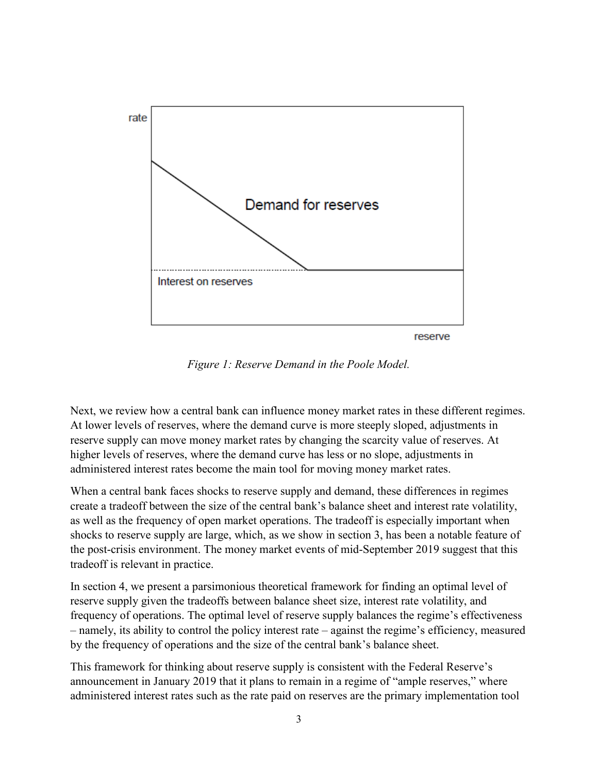

*Figure 1: Reserve Demand in the Poole Model.*

Next, we review how a central bank can influence money market rates in these different regimes. At lower levels of reserves, where the demand curve is more steeply sloped, adjustments in reserve supply can move money market rates by changing the scarcity value of reserves. At higher levels of reserves, where the demand curve has less or no slope, adjustments in administered interest rates become the main tool for moving money market rates.

When a central bank faces shocks to reserve supply and demand, these differences in regimes create a tradeoff between the size of the central bank's balance sheet and interest rate volatility, as well as the frequency of open market operations. The tradeoff is especially important when shocks to reserve supply are large, which, as we show in section 3, has been a notable feature of the post-crisis environment. The money market events of mid-September 2019 suggest that this tradeoff is relevant in practice.

In section 4, we present a parsimonious theoretical framework for finding an optimal level of reserve supply given the tradeoffs between balance sheet size, interest rate volatility, and frequency of operations. The optimal level of reserve supply balances the regime's effectiveness – namely, its ability to control the policy interest rate – against the regime's efficiency, measured by the frequency of operations and the size of the central bank's balance sheet.

This framework for thinking about reserve supply is consistent with the Federal Reserve's announcement in January 2019 that it plans to remain in a regime of "ample reserves," where administered interest rates such as the rate paid on reserves are the primary implementation tool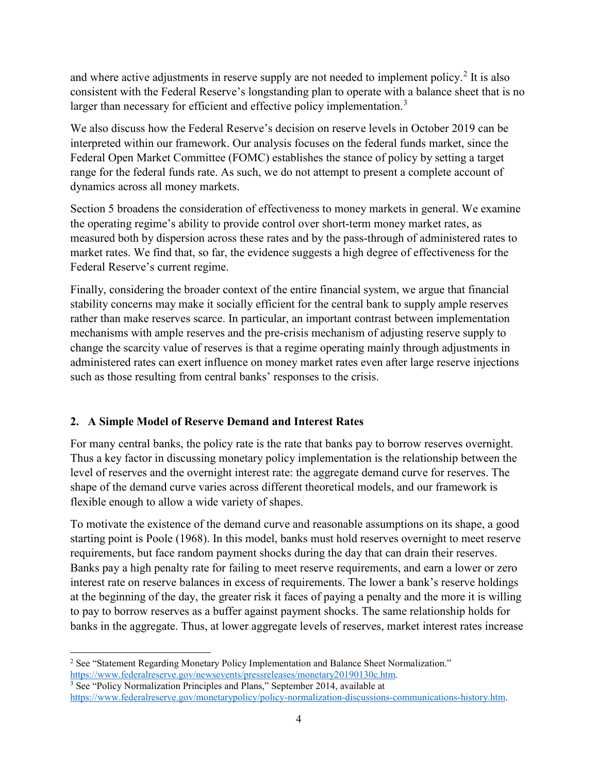and where active adjustments in reserve supply are not needed to implement policy.<sup>[2](#page-4-0)</sup> It is also consistent with the Federal Reserve's longstanding plan to operate with a balance sheet that is no larger than necessary for efficient and effective policy implementation.<sup>[3](#page-4-1)</sup>

We also discuss how the Federal Reserve's decision on reserve levels in October 2019 can be interpreted within our framework. Our analysis focuses on the federal funds market, since the Federal Open Market Committee (FOMC) establishes the stance of policy by setting a target range for the federal funds rate. As such, we do not attempt to present a complete account of dynamics across all money markets.

Section 5 broadens the consideration of effectiveness to money markets in general. We examine the operating regime's ability to provide control over short-term money market rates, as measured both by dispersion across these rates and by the pass-through of administered rates to market rates. We find that, so far, the evidence suggests a high degree of effectiveness for the Federal Reserve's current regime.

Finally, considering the broader context of the entire financial system, we argue that financial stability concerns may make it socially efficient for the central bank to supply ample reserves rather than make reserves scarce. In particular, an important contrast between implementation mechanisms with ample reserves and the pre-crisis mechanism of adjusting reserve supply to change the scarcity value of reserves is that a regime operating mainly through adjustments in administered rates can exert influence on money market rates even after large reserve injections such as those resulting from central banks' responses to the crisis.

# **2. A Simple Model of Reserve Demand and Interest Rates**

For many central banks, the policy rate is the rate that banks pay to borrow reserves overnight. Thus a key factor in discussing monetary policy implementation is the relationship between the level of reserves and the overnight interest rate: the aggregate demand curve for reserves. The shape of the demand curve varies across different theoretical models, and our framework is flexible enough to allow a wide variety of shapes.

To motivate the existence of the demand curve and reasonable assumptions on its shape, a good starting point is Poole (1968). In this model, banks must hold reserves overnight to meet reserve requirements, but face random payment shocks during the day that can drain their reserves. Banks pay a high penalty rate for failing to meet reserve requirements, and earn a lower or zero interest rate on reserve balances in excess of requirements. The lower a bank's reserve holdings at the beginning of the day, the greater risk it faces of paying a penalty and the more it is willing to pay to borrow reserves as a buffer against payment shocks. The same relationship holds for banks in the aggregate. Thus, at lower aggregate levels of reserves, market interest rates increase

<span id="page-4-0"></span>l <sup>2</sup> See "Statement Regarding Monetary Policy Implementation and Balance Sheet Normalization." https://www.federalreserve.gov/newsevents/pressreleases/monetary20190130c.htm.

<span id="page-4-1"></span><sup>&</sup>lt;sup>3</sup> See "Policy Normalization Principles and Plans," September 2014, available at [https://www.federalreserve.gov/monetarypolicy/policy-normalization-discussions-communications-history.htm.](https://www.federalreserve.gov/monetarypolicy/policy-normalization-discussions-communications-history.htm)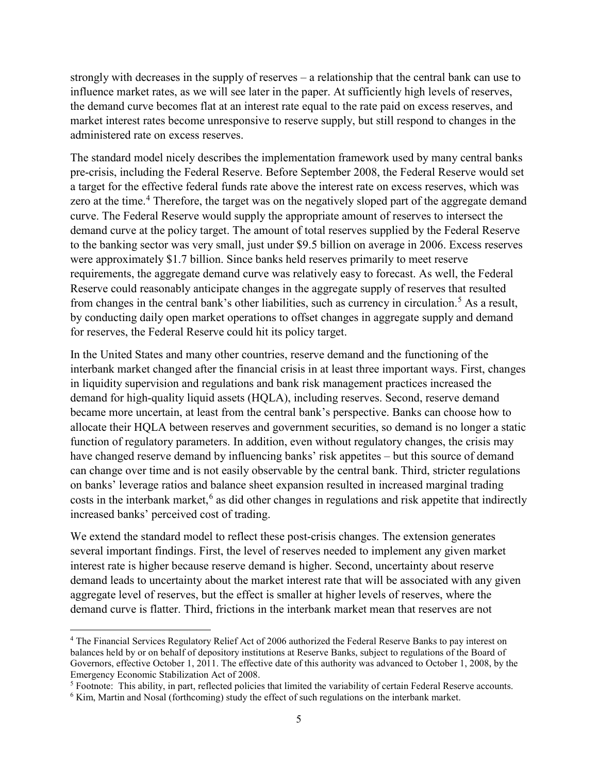strongly with decreases in the supply of reserves – a relationship that the central bank can use to influence market rates, as we will see later in the paper. At sufficiently high levels of reserves, the demand curve becomes flat at an interest rate equal to the rate paid on excess reserves, and market interest rates become unresponsive to reserve supply, but still respond to changes in the administered rate on excess reserves.

The standard model nicely describes the implementation framework used by many central banks pre-crisis, including the Federal Reserve. Before September 2008, the Federal Reserve would set a target for the effective federal funds rate above the interest rate on excess reserves, which was zero at the time.<sup>[4](#page-5-0)</sup> Therefore, the target was on the negatively sloped part of the aggregate demand curve. The Federal Reserve would supply the appropriate amount of reserves to intersect the demand curve at the policy target. The amount of total reserves supplied by the Federal Reserve to the banking sector was very small, just under \$9.5 billion on average in 2006. Excess reserves were approximately \$1.7 billion. Since banks held reserves primarily to meet reserve requirements, the aggregate demand curve was relatively easy to forecast. As well, the Federal Reserve could reasonably anticipate changes in the aggregate supply of reserves that resulted from changes in the central bank's other liabilities, such as currency in circulation.<sup>[5](#page-5-1)</sup> As a result, by conducting daily open market operations to offset changes in aggregate supply and demand for reserves, the Federal Reserve could hit its policy target.

In the United States and many other countries, reserve demand and the functioning of the interbank market changed after the financial crisis in at least three important ways. First, changes in liquidity supervision and regulations and bank risk management practices increased the demand for high-quality liquid assets (HQLA), including reserves. Second, reserve demand became more uncertain, at least from the central bank's perspective. Banks can choose how to allocate their HQLA between reserves and government securities, so demand is no longer a static function of regulatory parameters. In addition, even without regulatory changes, the crisis may have changed reserve demand by influencing banks' risk appetites – but this source of demand can change over time and is not easily observable by the central bank. Third, stricter regulations on banks' leverage ratios and balance sheet expansion resulted in increased marginal trading costs in the interbank market, [6](#page-5-2) as did other changes in regulations and risk appetite that indirectly increased banks' perceived cost of trading.

We extend the standard model to reflect these post-crisis changes. The extension generates several important findings. First, the level of reserves needed to implement any given market interest rate is higher because reserve demand is higher. Second, uncertainty about reserve demand leads to uncertainty about the market interest rate that will be associated with any given aggregate level of reserves, but the effect is smaller at higher levels of reserves, where the demand curve is flatter. Third, frictions in the interbank market mean that reserves are not

 $\overline{a}$ 

<span id="page-5-0"></span><sup>4</sup> The Financial Services Regulatory Relief Act of 2006 authorized the Federal Reserve Banks to pay interest on balances held by or on behalf of depository institutions at Reserve Banks, subject to regulations of the Board of Governors, effective October 1, 2011. The effective date of this authority was advanced to October 1, 2008, by the Emergency Economic Stabilization Act of 2008.

<span id="page-5-1"></span><sup>5</sup> Footnote: This ability, in part, reflected policies that limited the variability of certain Federal Reserve accounts.

<span id="page-5-2"></span><sup>6</sup> Kim, Martin and Nosal (forthcoming) study the effect of such regulations on the interbank market.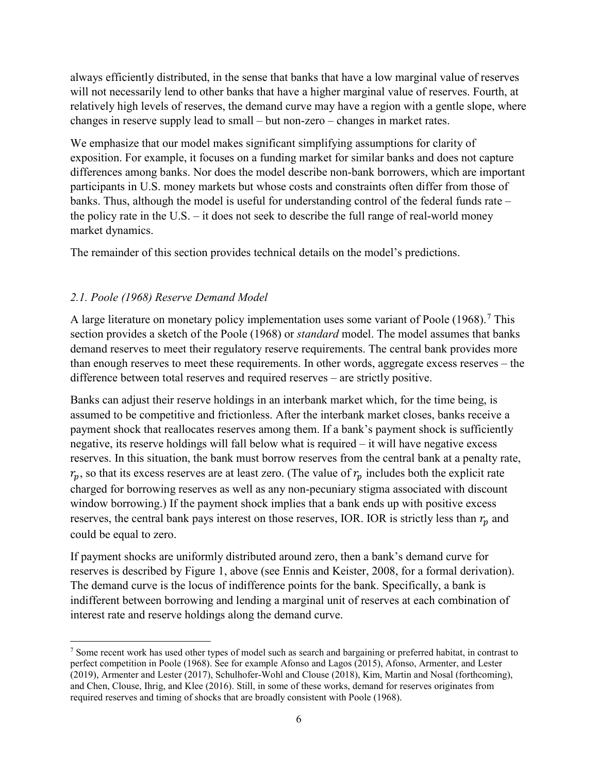always efficiently distributed, in the sense that banks that have a low marginal value of reserves will not necessarily lend to other banks that have a higher marginal value of reserves. Fourth, at relatively high levels of reserves, the demand curve may have a region with a gentle slope, where changes in reserve supply lead to small – but non-zero – changes in market rates.

We emphasize that our model makes significant simplifying assumptions for clarity of exposition. For example, it focuses on a funding market for similar banks and does not capture differences among banks. Nor does the model describe non-bank borrowers, which are important participants in U.S. money markets but whose costs and constraints often differ from those of banks. Thus, although the model is useful for understanding control of the federal funds rate – the policy rate in the U.S. – it does not seek to describe the full range of real-world money market dynamics.

The remainder of this section provides technical details on the model's predictions.

# *2.1. Poole (1968) Reserve Demand Model*

 $\overline{\phantom{a}}$ 

A large literature on monetary policy implementation uses some variant of Poole  $(1968)$ .<sup>[7](#page-6-0)</sup> This section provides a sketch of the Poole (1968) or *standard* model. The model assumes that banks demand reserves to meet their regulatory reserve requirements. The central bank provides more than enough reserves to meet these requirements. In other words, aggregate excess reserves – the difference between total reserves and required reserves – are strictly positive.

Banks can adjust their reserve holdings in an interbank market which, for the time being, is assumed to be competitive and frictionless. After the interbank market closes, banks receive a payment shock that reallocates reserves among them. If a bank's payment shock is sufficiently negative, its reserve holdings will fall below what is required – it will have negative excess reserves. In this situation, the bank must borrow reserves from the central bank at a penalty rate,  $r_p$ , so that its excess reserves are at least zero. (The value of  $r_p$  includes both the explicit rate charged for borrowing reserves as well as any non-pecuniary stigma associated with discount window borrowing.) If the payment shock implies that a bank ends up with positive excess reserves, the central bank pays interest on those reserves, IOR. IOR is strictly less than  $r_p$  and could be equal to zero.

If payment shocks are uniformly distributed around zero, then a bank's demand curve for reserves is described by Figure 1, above (see Ennis and Keister, 2008, for a formal derivation). The demand curve is the locus of indifference points for the bank. Specifically, a bank is indifferent between borrowing and lending a marginal unit of reserves at each combination of interest rate and reserve holdings along the demand curve.

<span id="page-6-0"></span><sup>7</sup> Some recent work has used other types of model such as search and bargaining or preferred habitat, in contrast to perfect competition in Poole (1968). See for example Afonso and Lagos (2015), Afonso, Armenter, and Lester (2019), Armenter and Lester (2017), Schulhofer-Wohl and Clouse (2018), Kim, Martin and Nosal (forthcoming), and Chen, Clouse, Ihrig, and Klee (2016). Still, in some of these works, demand for reserves originates from required reserves and timing of shocks that are broadly consistent with Poole (1968).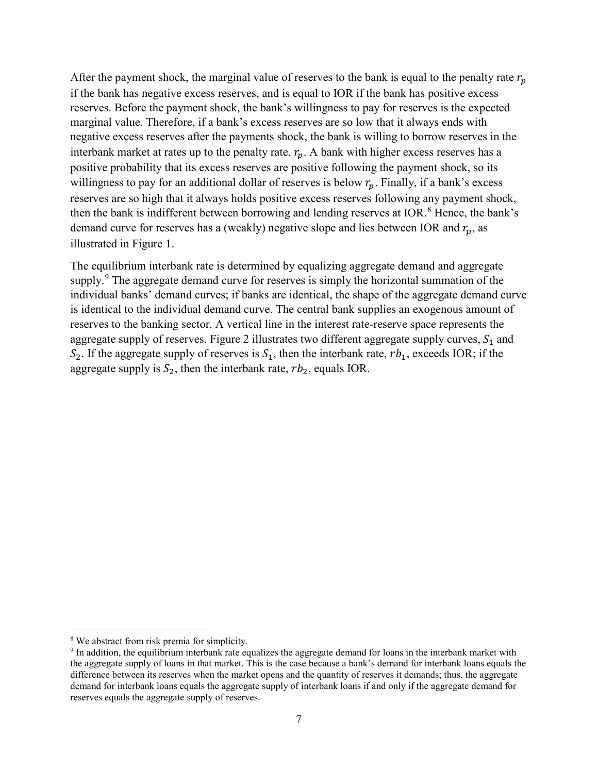After the payment shock, the marginal value of reserves to the bank is equal to the penalty rate  $r_p$ if the bank has negative excess reserves, and is equal to IOR if the bank has positive excess reserves. Before the payment shock, the bank's willingness to pay for reserves is the expected marginal value. Therefore, if a bank's excess reserves are so low that it always ends with negative excess reserves after the payments shock, the bank is willing to borrow reserves in the interbank market at rates up to the penalty rate,  $r_p$ . A bank with higher excess reserves has a positive probability that its excess reserves are positive following the payment shock, so its willingness to pay for an additional dollar of reserves is below  $r_n$ . Finally, if a bank's excess reserves are so high that it always holds positive excess reserves following any payment shock, then the bank is indifferent between borrowing and lending reserves at IOR.<sup>[8](#page-7-0)</sup> Hence, the bank's demand curve for reserves has a (weakly) negative slope and lies between IOR and  $r_p$ , as illustrated in Figure 1.

The equilibrium interbank rate is determined by equalizing aggregate demand and aggregate supply.<sup>[9](#page-7-1)</sup> The aggregate demand curve for reserves is simply the horizontal summation of the individual banks' demand curves; if banks are identical, the shape of the aggregate demand curve is identical to the individual demand curve. The central bank supplies an exogenous amount of reserves to the banking sector. A vertical line in the interest rate-reserve space represents the aggregate supply of reserves. [Figure 2](#page-8-0) illustrates two different aggregate supply curves,  $S_1$  and  $S_2$ . If the aggregate supply of reserves is  $S_1$ , then the interbank rate,  $rb_1$ , exceeds IOR; if the aggregate supply is  $S_2$ , then the interbank rate,  $rb_2$ , equals IOR.

 $\overline{a}$ 

<span id="page-7-0"></span><sup>&</sup>lt;sup>8</sup> We abstract from risk premia for simplicity.

<span id="page-7-1"></span><sup>9</sup> In addition, the equilibrium interbank rate equalizes the aggregate demand for loans in the interbank market with the aggregate supply of loans in that market. This is the case because a bank's demand for interbank loans equals the difference between its reserves when the market opens and the quantity of reserves it demands; thus, the aggregate demand for interbank loans equals the aggregate supply of interbank loans if and only if the aggregate demand for reserves equals the aggregate supply of reserves.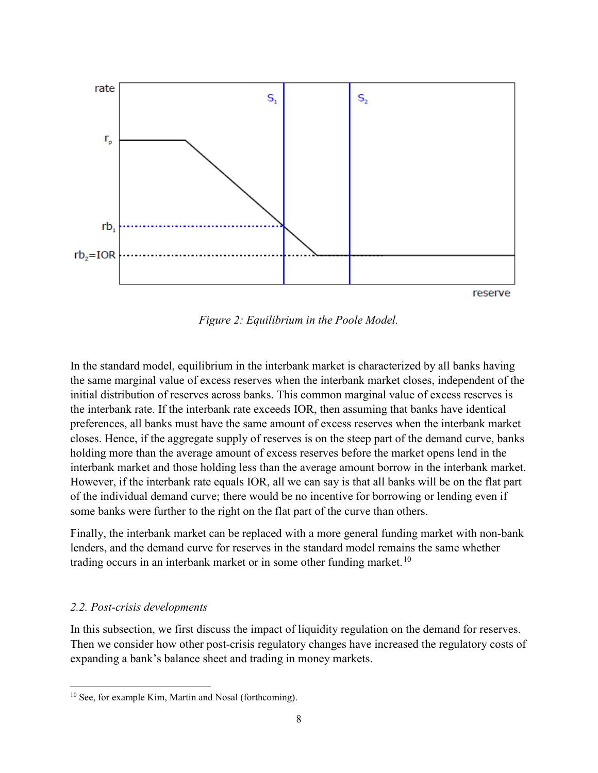

*Figure 2: Equilibrium in the Poole Model.*

<span id="page-8-0"></span>In the standard model, equilibrium in the interbank market is characterized by all banks having the same marginal value of excess reserves when the interbank market closes, independent of the initial distribution of reserves across banks. This common marginal value of excess reserves is the interbank rate. If the interbank rate exceeds IOR, then assuming that banks have identical preferences, all banks must have the same amount of excess reserves when the interbank market closes. Hence, if the aggregate supply of reserves is on the steep part of the demand curve, banks holding more than the average amount of excess reserves before the market opens lend in the interbank market and those holding less than the average amount borrow in the interbank market. However, if the interbank rate equals IOR, all we can say is that all banks will be on the flat part of the individual demand curve; there would be no incentive for borrowing or lending even if some banks were further to the right on the flat part of the curve than others.

Finally, the interbank market can be replaced with a more general funding market with non-bank lenders, and the demand curve for reserves in the standard model remains the same whether trading occurs in an interbank market or in some other funding market.<sup>[10](#page-8-1)</sup>

#### *2.2. Post-crisis developments*

l

In this subsection, we first discuss the impact of liquidity regulation on the demand for reserves. Then we consider how other post-crisis regulatory changes have increased the regulatory costs of expanding a bank's balance sheet and trading in money markets.

<span id="page-8-1"></span> $10$  See, for example Kim, Martin and Nosal (forthcoming).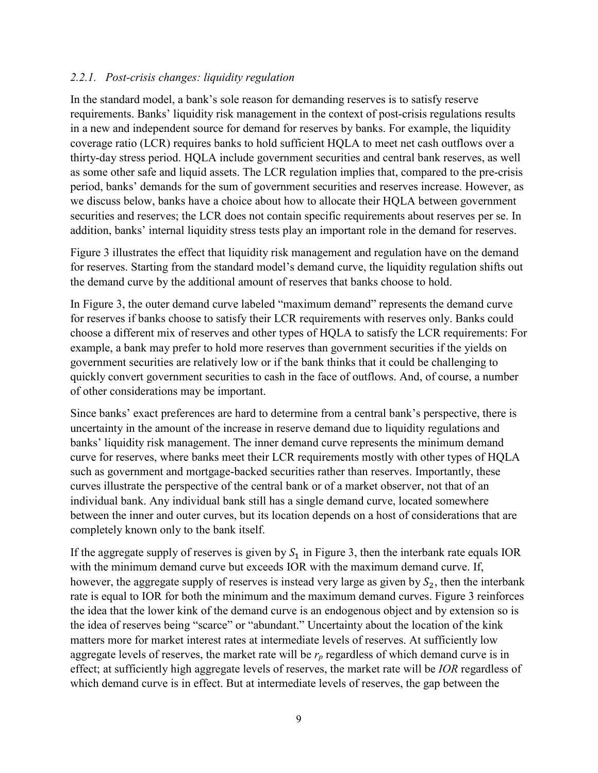## *2.2.1. Post-crisis changes: liquidity regulation*

In the standard model, a bank's sole reason for demanding reserves is to satisfy reserve requirements. Banks' liquidity risk management in the context of post-crisis regulations results in a new and independent source for demand for reserves by banks. For example, the liquidity coverage ratio (LCR) requires banks to hold sufficient HQLA to meet net cash outflows over a thirty-day stress period. HQLA include government securities and central bank reserves, as well as some other safe and liquid assets. The LCR regulation implies that, compared to the pre-crisis period, banks' demands for the sum of government securities and reserves increase. However, as we discuss below, banks have a choice about how to allocate their HQLA between government securities and reserves; the LCR does not contain specific requirements about reserves per se. In addition, banks' internal liquidity stress tests play an important role in the demand for reserves.

[Figure 3](#page-10-0) illustrates the effect that liquidity risk management and regulation have on the demand for reserves. Starting from the standard model's demand curve, the liquidity regulation shifts out the demand curve by the additional amount of reserves that banks choose to hold.

In [Figure 3,](#page-10-0) the outer demand curve labeled "maximum demand" represents the demand curve for reserves if banks choose to satisfy their LCR requirements with reserves only. Banks could choose a different mix of reserves and other types of HQLA to satisfy the LCR requirements: For example, a bank may prefer to hold more reserves than government securities if the yields on government securities are relatively low or if the bank thinks that it could be challenging to quickly convert government securities to cash in the face of outflows. And, of course, a number of other considerations may be important.

Since banks' exact preferences are hard to determine from a central bank's perspective, there is uncertainty in the amount of the increase in reserve demand due to liquidity regulations and banks' liquidity risk management. The inner demand curve represents the minimum demand curve for reserves, where banks meet their LCR requirements mostly with other types of HQLA such as government and mortgage-backed securities rather than reserves. Importantly, these curves illustrate the perspective of the central bank or of a market observer, not that of an individual bank. Any individual bank still has a single demand curve, located somewhere between the inner and outer curves, but its location depends on a host of considerations that are completely known only to the bank itself.

If the aggregate supply of reserves is given by  $S_1$  in [Figure 3,](#page-10-0) then the interbank rate equals IOR with the minimum demand curve but exceeds IOR with the maximum demand curve. If, however, the aggregate supply of reserves is instead very large as given by  $S_2$ , then the interbank rate is equal to IOR for both the minimum and the maximum demand curves. Figure 3 reinforces the idea that the lower kink of the demand curve is an endogenous object and by extension so is the idea of reserves being "scarce" or "abundant." Uncertainty about the location of the kink matters more for market interest rates at intermediate levels of reserves. At sufficiently low aggregate levels of reserves, the market rate will be  $r_p$  regardless of which demand curve is in effect; at sufficiently high aggregate levels of reserves, the market rate will be *IOR* regardless of which demand curve is in effect. But at intermediate levels of reserves, the gap between the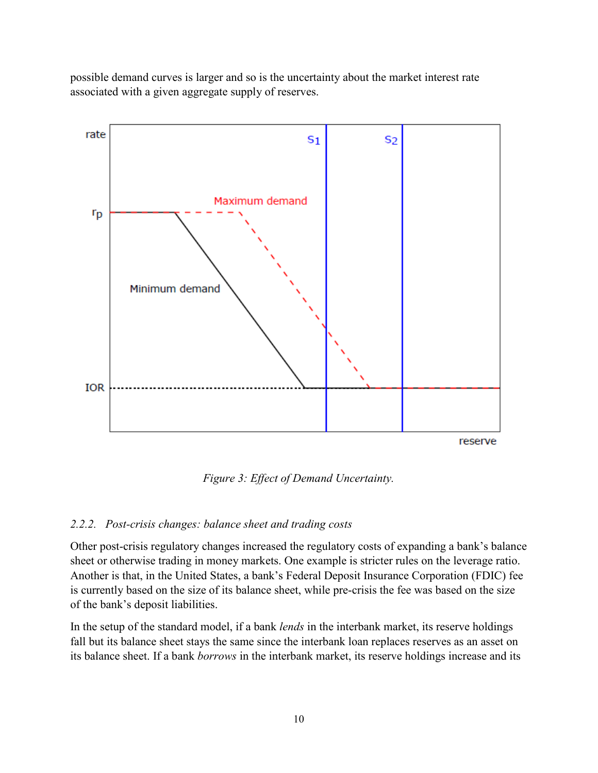possible demand curves is larger and so is the uncertainty about the market interest rate associated with a given aggregate supply of reserves.



*Figure 3: Effect of Demand Uncertainty.*

# <span id="page-10-0"></span>*2.2.2. Post-crisis changes: balance sheet and trading costs*

Other post-crisis regulatory changes increased the regulatory costs of expanding a bank's balance sheet or otherwise trading in money markets. One example is stricter rules on the leverage ratio. Another is that, in the United States, a bank's Federal Deposit Insurance Corporation (FDIC) fee is currently based on the size of its balance sheet, while pre-crisis the fee was based on the size of the bank's deposit liabilities.

In the setup of the standard model, if a bank *lends* in the interbank market, its reserve holdings fall but its balance sheet stays the same since the interbank loan replaces reserves as an asset on its balance sheet. If a bank *borrows* in the interbank market, its reserve holdings increase and its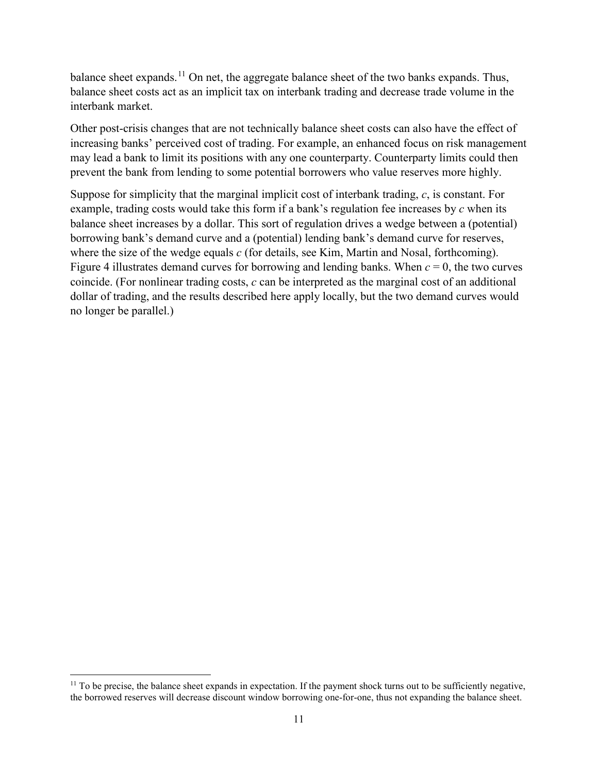balance sheet expands.<sup>[11](#page-11-0)</sup> On net, the aggregate balance sheet of the two banks expands. Thus, balance sheet costs act as an implicit tax on interbank trading and decrease trade volume in the interbank market.

Other post-crisis changes that are not technically balance sheet costs can also have the effect of increasing banks' perceived cost of trading. For example, an enhanced focus on risk management may lead a bank to limit its positions with any one counterparty. Counterparty limits could then prevent the bank from lending to some potential borrowers who value reserves more highly.

Suppose for simplicity that the marginal implicit cost of interbank trading, *c*, is constant. For example, trading costs would take this form if a bank's regulation fee increases by *c* when its balance sheet increases by a dollar. This sort of regulation drives a wedge between a (potential) borrowing bank's demand curve and a (potential) lending bank's demand curve for reserves, where the size of the wedge equals *c* (for details, see Kim, Martin and Nosal, forthcoming). [Figure 4](#page-12-0) illustrates demand curves for borrowing and lending banks. When  $c = 0$ , the two curves coincide. (For nonlinear trading costs, *c* can be interpreted as the marginal cost of an additional dollar of trading, and the results described here apply locally, but the two demand curves would no longer be parallel.)

l

<span id="page-11-0"></span> $11$  To be precise, the balance sheet expands in expectation. If the payment shock turns out to be sufficiently negative, the borrowed reserves will decrease discount window borrowing one-for-one, thus not expanding the balance sheet.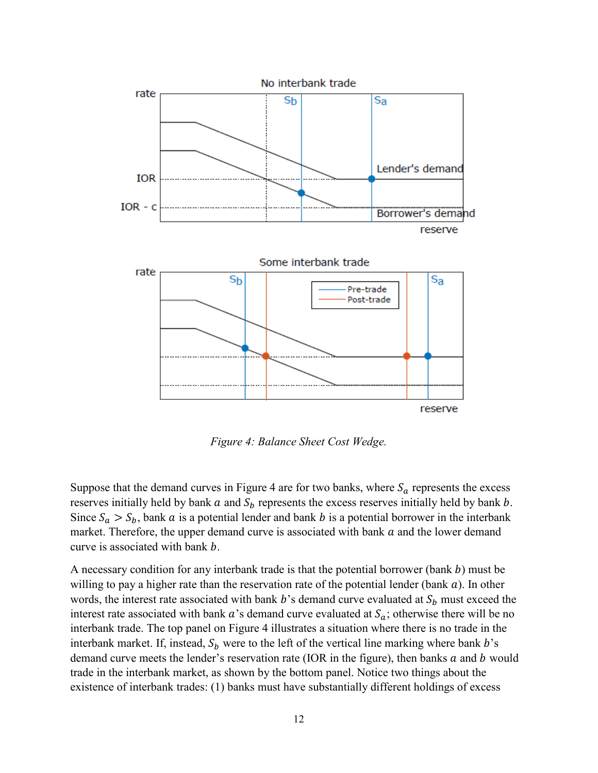

*Figure 4: Balance Sheet Cost Wedge.*

<span id="page-12-0"></span>Suppose that the demand curves in [Figure 4](#page-12-0) are for two banks, where  $S_a$  represents the excess reserves initially held by bank  $a$  and  $S_b$  represents the excess reserves initially held by bank  $b$ . Since  $S_a > S_b$ , bank a is a potential lender and bank b is a potential borrower in the interbank market. Therefore, the upper demand curve is associated with bank  $\alpha$  and the lower demand curve is associated with bank b.

A necessary condition for any interbank trade is that the potential borrower (bank  $b$ ) must be willing to pay a higher rate than the reservation rate of the potential lender (bank  $a$ ). In other words, the interest rate associated with bank  $b$ 's demand curve evaluated at  $S_b$  must exceed the interest rate associated with bank  $\alpha$ 's demand curve evaluated at  $S_{\alpha}$ ; otherwise there will be no interbank trade. The top panel on [Figure 4](#page-12-0) illustrates a situation where there is no trade in the interbank market. If, instead,  $S_b$  were to the left of the vertical line marking where bank b's demand curve meets the lender's reservation rate (IOR in the figure), then banks  $a$  and  $b$  would trade in the interbank market, as shown by the bottom panel. Notice two things about the existence of interbank trades: (1) banks must have substantially different holdings of excess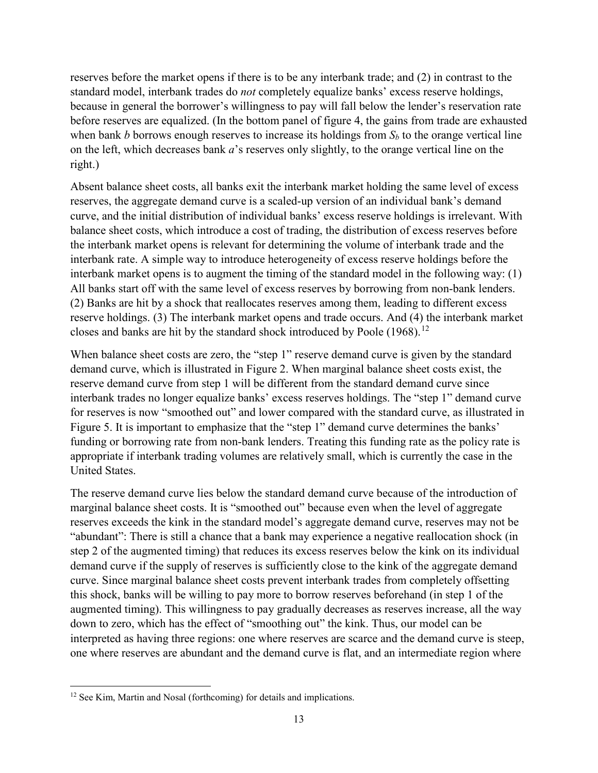reserves before the market opens if there is to be any interbank trade; and (2) in contrast to the standard model, interbank trades do *not* completely equalize banks' excess reserve holdings, because in general the borrower's willingness to pay will fall below the lender's reservation rate before reserves are equalized. (In the bottom panel of figure 4, the gains from trade are exhausted when bank *b* borrows enough reserves to increase its holdings from  $S_b$  to the orange vertical line on the left, which decreases bank *a*'s reserves only slightly, to the orange vertical line on the right.)

Absent balance sheet costs, all banks exit the interbank market holding the same level of excess reserves, the aggregate demand curve is a scaled-up version of an individual bank's demand curve, and the initial distribution of individual banks' excess reserve holdings is irrelevant. With balance sheet costs, which introduce a cost of trading, the distribution of excess reserves before the interbank market opens is relevant for determining the volume of interbank trade and the interbank rate. A simple way to introduce heterogeneity of excess reserve holdings before the interbank market opens is to augment the timing of the standard model in the following way: (1) All banks start off with the same level of excess reserves by borrowing from non-bank lenders. (2) Banks are hit by a shock that reallocates reserves among them, leading to different excess reserve holdings. (3) The interbank market opens and trade occurs. And (4) the interbank market closes and banks are hit by the standard shock introduced by Poole  $(1968).^{12}$  $(1968).^{12}$  $(1968).^{12}$ 

When balance sheet costs are zero, the "step 1" reserve demand curve is given by the standard demand curve, which is illustrated in Figure 2. When marginal balance sheet costs exist, the reserve demand curve from step 1 will be different from the standard demand curve since interbank trades no longer equalize banks' excess reserves holdings. The "step 1" demand curve for reserves is now "smoothed out" and lower compared with the standard curve, as illustrated in [Figure 5.](#page-14-0) It is important to emphasize that the "step 1" demand curve determines the banks' funding or borrowing rate from non-bank lenders. Treating this funding rate as the policy rate is appropriate if interbank trading volumes are relatively small, which is currently the case in the United States.

The reserve demand curve lies below the standard demand curve because of the introduction of marginal balance sheet costs. It is "smoothed out" because even when the level of aggregate reserves exceeds the kink in the standard model's aggregate demand curve, reserves may not be "abundant": There is still a chance that a bank may experience a negative reallocation shock (in step 2 of the augmented timing) that reduces its excess reserves below the kink on its individual demand curve if the supply of reserves is sufficiently close to the kink of the aggregate demand curve. Since marginal balance sheet costs prevent interbank trades from completely offsetting this shock, banks will be willing to pay more to borrow reserves beforehand (in step 1 of the augmented timing). This willingness to pay gradually decreases as reserves increase, all the way down to zero, which has the effect of "smoothing out" the kink. Thus, our model can be interpreted as having three regions: one where reserves are scarce and the demand curve is steep, one where reserves are abundant and the demand curve is flat, and an intermediate region where

l

<span id="page-13-0"></span><sup>&</sup>lt;sup>12</sup> See Kim, Martin and Nosal (forthcoming) for details and implications.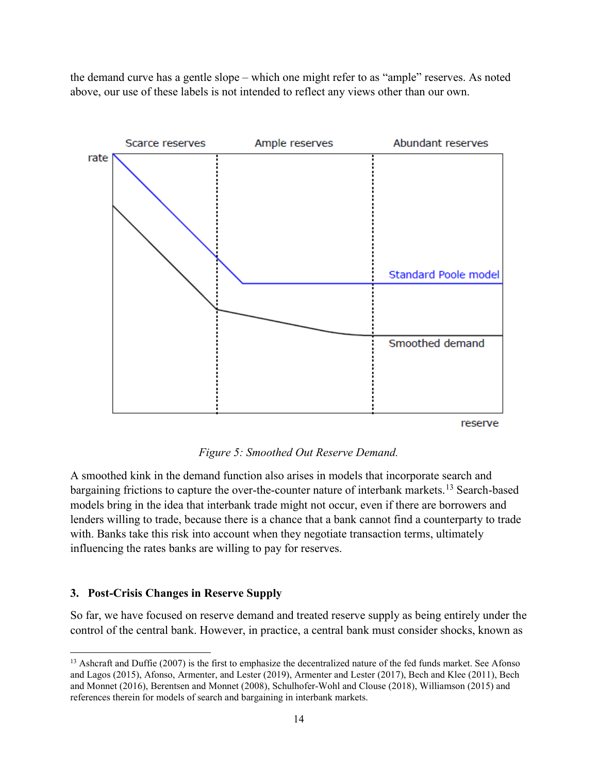the demand curve has a gentle slope – which one might refer to as "ample" reserves. As noted above, our use of these labels is not intended to reflect any views other than our own.



*Figure 5: Smoothed Out Reserve Demand.*

<span id="page-14-0"></span>A smoothed kink in the demand function also arises in models that incorporate search and bargaining frictions to capture the over-the-counter nature of interbank markets.<sup>[13](#page-14-1)</sup> Search-based models bring in the idea that interbank trade might not occur, even if there are borrowers and lenders willing to trade, because there is a chance that a bank cannot find a counterparty to trade with. Banks take this risk into account when they negotiate transaction terms, ultimately influencing the rates banks are willing to pay for reserves.

# **3. Post-Crisis Changes in Reserve Supply**

l

So far, we have focused on reserve demand and treated reserve supply as being entirely under the control of the central bank. However, in practice, a central bank must consider shocks, known as

<span id="page-14-1"></span><sup>&</sup>lt;sup>13</sup> Ashcraft and Duffie (2007) is the first to emphasize the decentralized nature of the fed funds market. See Afonso and Lagos (2015), Afonso, Armenter, and Lester (2019), Armenter and Lester (2017), Bech and Klee (2011), Bech and Monnet (2016), Berentsen and Monnet (2008), Schulhofer-Wohl and Clouse (2018), Williamson (2015) and references therein for models of search and bargaining in interbank markets.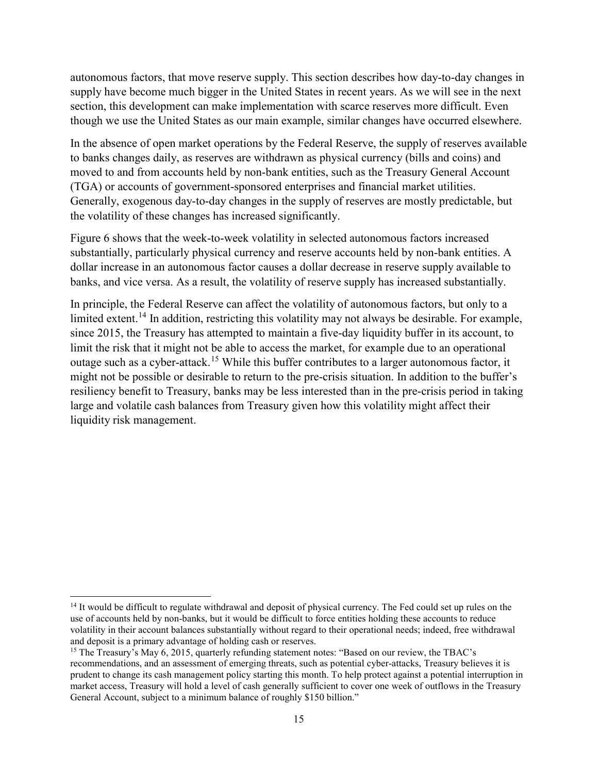autonomous factors, that move reserve supply. This section describes how day-to-day changes in supply have become much bigger in the United States in recent years. As we will see in the next section, this development can make implementation with scarce reserves more difficult. Even though we use the United States as our main example, similar changes have occurred elsewhere.

In the absence of open market operations by the Federal Reserve, the supply of reserves available to banks changes daily, as reserves are withdrawn as physical currency (bills and coins) and moved to and from accounts held by non-bank entities, such as the Treasury General Account (TGA) or accounts of government-sponsored enterprises and financial market utilities. Generally, exogenous day-to-day changes in the supply of reserves are mostly predictable, but the volatility of these changes has increased significantly.

Figure 6 shows that the week-to-week volatility in selected autonomous factors increased substantially, particularly physical currency and reserve accounts held by non-bank entities. A dollar increase in an autonomous factor causes a dollar decrease in reserve supply available to banks, and vice versa. As a result, the volatility of reserve supply has increased substantially.

In principle, the Federal Reserve can affect the volatility of autonomous factors, but only to a limited extent.<sup>[14](#page-15-0)</sup> In addition, restricting this volatility may not always be desirable. For example, since 2015, the Treasury has attempted to maintain a five-day liquidity buffer in its account, to limit the risk that it might not be able to access the market, for example due to an operational outage such as a cyber-attack.[15](#page-15-1) While this buffer contributes to a larger autonomous factor, it might not be possible or desirable to return to the pre-crisis situation. In addition to the buffer's resiliency benefit to Treasury, banks may be less interested than in the pre-crisis period in taking large and volatile cash balances from Treasury given how this volatility might affect their liquidity risk management.

l

<span id="page-15-0"></span><sup>&</sup>lt;sup>14</sup> It would be difficult to regulate withdrawal and deposit of physical currency. The Fed could set up rules on the use of accounts held by non-banks, but it would be difficult to force entities holding these accounts to reduce volatility in their account balances substantially without regard to their operational needs; indeed, free withdrawal and deposit is a primary advantage of holding cash or reserves.

<span id="page-15-1"></span><sup>&</sup>lt;sup>15</sup> The Treasury's May 6, 2015, quarterly refunding statement notes: "Based on our review, the TBAC's recommendations, and an assessment of emerging threats, such as potential cyber-attacks, Treasury believes it is prudent to change its cash management policy starting this month. To help protect against a potential interruption in market access, Treasury will hold a level of cash generally sufficient to cover one week of outflows in the Treasury General Account, subject to a minimum balance of roughly \$150 billion."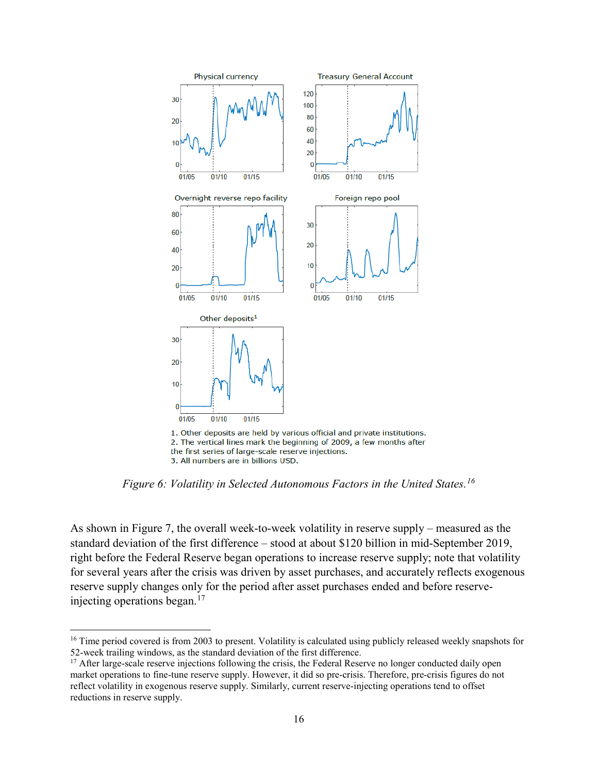

3. All numbers are in billions USD.

 $\overline{a}$ 

*Figure 6: Volatility in Selected Autonomous Factors in the United States.[16](#page-16-0)*

As shown in Figure 7, the overall week-to-week volatility in reserve supply – measured as the standard deviation of the first difference – stood at about \$120 billion in mid-September 2019, right before the Federal Reserve began operations to increase reserve supply; note that volatility for several years after the crisis was driven by asset purchases, and accurately reflects exogenous reserve supply changes only for the period after asset purchases ended and before reserveinjecting operations began. $17$ 

<span id="page-16-0"></span><sup>&</sup>lt;sup>16</sup> Time period covered is from 2003 to present. Volatility is calculated using publicly released weekly snapshots for 52-week trailing windows, as the standard deviation of the first difference.

<span id="page-16-1"></span><sup>&</sup>lt;sup>17</sup> After large-scale reserve injections following the crisis, the Federal Reserve no longer conducted daily open market operations to fine-tune reserve supply. However, it did so pre-crisis. Therefore, pre-crisis figures do not reflect volatility in exogenous reserve supply. Similarly, current reserve-injecting operations tend to offset reductions in reserve supply.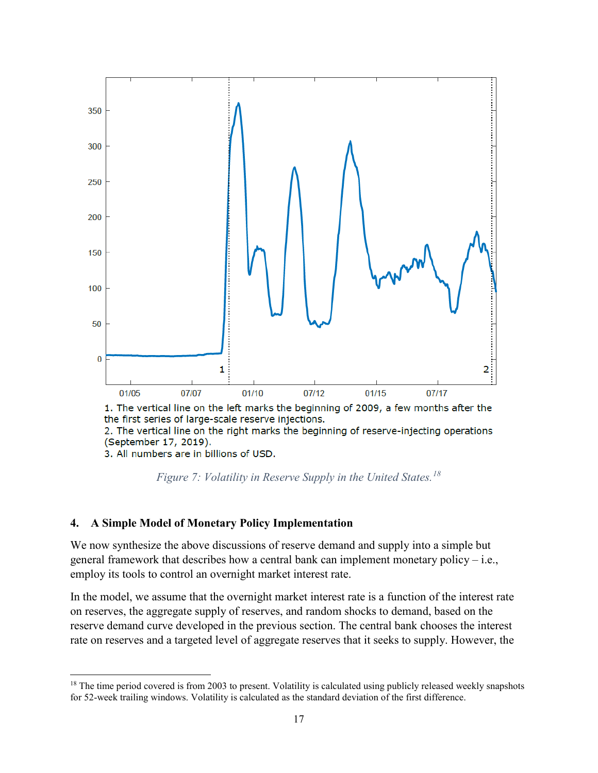

2. The vertical line on the right marks the beginning of reserve-injecting operations (September 17, 2019).

3. All numbers are in billions of USD.



# **4. A Simple Model of Monetary Policy Implementation**

We now synthesize the above discussions of reserve demand and supply into a simple but general framework that describes how a central bank can implement monetary policy – i.e., employ its tools to control an overnight market interest rate.

In the model, we assume that the overnight market interest rate is a function of the interest rate on reserves, the aggregate supply of reserves, and random shocks to demand, based on the reserve demand curve developed in the previous section. The central bank chooses the interest rate on reserves and a targeted level of aggregate reserves that it seeks to supply. However, the

<span id="page-17-0"></span>l <sup>18</sup> The time period covered is from 2003 to present. Volatility is calculated using publicly released weekly snapshots for 52-week trailing windows. Volatility is calculated as the standard deviation of the first difference.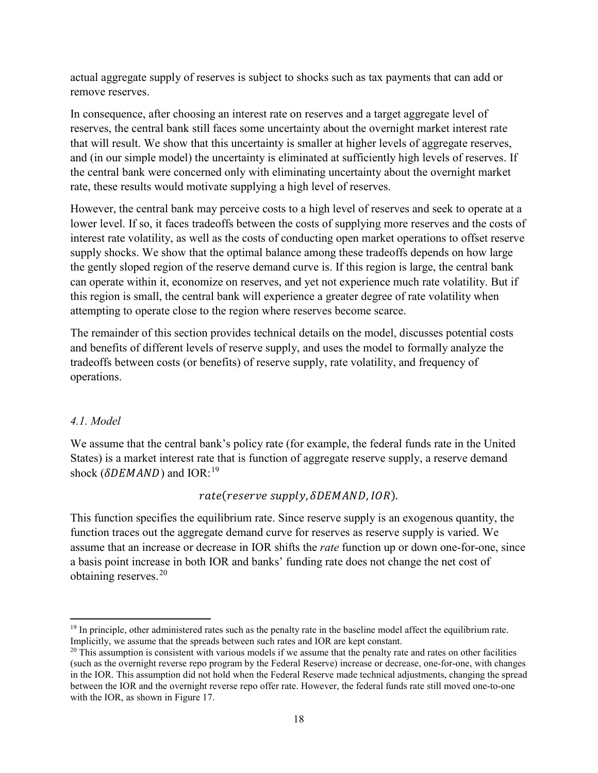actual aggregate supply of reserves is subject to shocks such as tax payments that can add or remove reserves.

In consequence, after choosing an interest rate on reserves and a target aggregate level of reserves, the central bank still faces some uncertainty about the overnight market interest rate that will result. We show that this uncertainty is smaller at higher levels of aggregate reserves, and (in our simple model) the uncertainty is eliminated at sufficiently high levels of reserves. If the central bank were concerned only with eliminating uncertainty about the overnight market rate, these results would motivate supplying a high level of reserves.

However, the central bank may perceive costs to a high level of reserves and seek to operate at a lower level. If so, it faces tradeoffs between the costs of supplying more reserves and the costs of interest rate volatility, as well as the costs of conducting open market operations to offset reserve supply shocks. We show that the optimal balance among these tradeoffs depends on how large the gently sloped region of the reserve demand curve is. If this region is large, the central bank can operate within it, economize on reserves, and yet not experience much rate volatility. But if this region is small, the central bank will experience a greater degree of rate volatility when attempting to operate close to the region where reserves become scarce.

The remainder of this section provides technical details on the model, discusses potential costs and benefits of different levels of reserve supply, and uses the model to formally analyze the tradeoffs between costs (or benefits) of reserve supply, rate volatility, and frequency of operations.

# *4.1. Model*

We assume that the central bank's policy rate (for example, the federal funds rate in the United States) is a market interest rate that is function of aggregate reserve supply, a reserve demand shock ( $\delta$ DEMAND) and IOR:<sup>[19](#page-18-0)</sup>

# rate(reserve supply,  $\delta$ DEMAND, IOR).

This function specifies the equilibrium rate. Since reserve supply is an exogenous quantity, the function traces out the aggregate demand curve for reserves as reserve supply is varied. We assume that an increase or decrease in IOR shifts the *rate* function up or down one-for-one, since a basis point increase in both IOR and banks' funding rate does not change the net cost of obtaining reserves.[20](#page-18-1)

<span id="page-18-0"></span>l <sup>19</sup> In principle, other administered rates such as the penalty rate in the baseline model affect the equilibrium rate. Implicitly, we assume that the spreads between such rates and IOR are kept constant.

<span id="page-18-1"></span> $20$  This assumption is consistent with various models if we assume that the penalty rate and rates on other facilities (such as the overnight reverse repo program by the Federal Reserve) increase or decrease, one-for-one, with changes in the IOR. This assumption did not hold when the Federal Reserve made technical adjustments, changing the spread between the IOR and the overnight reverse repo offer rate. However, the federal funds rate still moved one-to-one with the IOR, as shown in Figure 17.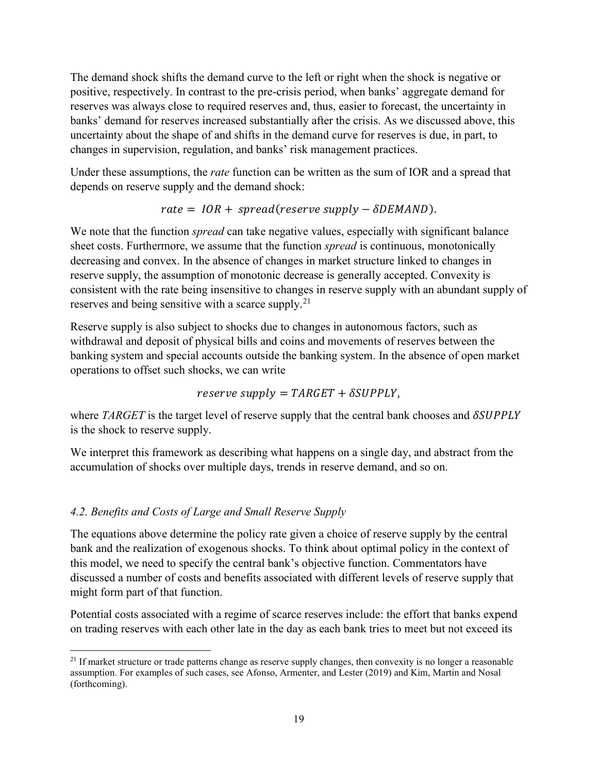The demand shock shifts the demand curve to the left or right when the shock is negative or positive, respectively. In contrast to the pre-crisis period, when banks' aggregate demand for reserves was always close to required reserves and, thus, easier to forecast, the uncertainty in banks' demand for reserves increased substantially after the crisis. As we discussed above, this uncertainty about the shape of and shifts in the demand curve for reserves is due, in part, to changes in supervision, regulation, and banks' risk management practices.

Under these assumptions, the *rate* function can be written as the sum of IOR and a spread that depends on reserve supply and the demand shock:

$$
rate = IOR + spread(reserve supply - \delta DEMAND).
$$

We note that the function *spread* can take negative values, especially with significant balance sheet costs. Furthermore, we assume that the function *spread* is continuous, monotonically decreasing and convex. In the absence of changes in market structure linked to changes in reserve supply, the assumption of monotonic decrease is generally accepted. Convexity is consistent with the rate being insensitive to changes in reserve supply with an abundant supply of reserves and being sensitive with a scarce supply.<sup>[21](#page-19-0)</sup>

Reserve supply is also subject to shocks due to changes in autonomous factors, such as withdrawal and deposit of physical bills and coins and movements of reserves between the banking system and special accounts outside the banking system. In the absence of open market operations to offset such shocks, we can write

$$
reserve \, supply = TARGET + \delta SUPPLY,
$$

where *TARGET* is the target level of reserve supply that the central bank chooses and *SSUPPLY* is the shock to reserve supply.

We interpret this framework as describing what happens on a single day, and abstract from the accumulation of shocks over multiple days, trends in reserve demand, and so on.

# *4.2. Benefits and Costs of Large and Small Reserve Supply*

The equations above determine the policy rate given a choice of reserve supply by the central bank and the realization of exogenous shocks. To think about optimal policy in the context of this model, we need to specify the central bank's objective function. Commentators have discussed a number of costs and benefits associated with different levels of reserve supply that might form part of that function.

Potential costs associated with a regime of scarce reserves include: the effort that banks expend on trading reserves with each other late in the day as each bank tries to meet but not exceed its

<span id="page-19-0"></span>l  $21$  If market structure or trade patterns change as reserve supply changes, then convexity is no longer a reasonable assumption. For examples of such cases, see Afonso, Armenter, and Lester (2019) and Kim, Martin and Nosal (forthcoming).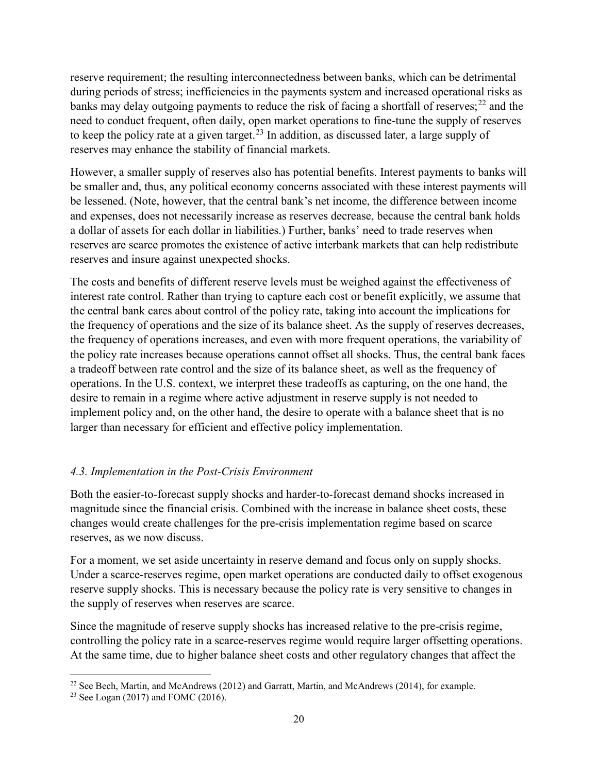reserve requirement; the resulting interconnectedness between banks, which can be detrimental during periods of stress; inefficiencies in the payments system and increased operational risks as banks may delay outgoing payments to reduce the risk of facing a shortfall of reserves;<sup>[22](#page-20-0)</sup> and the need to conduct frequent, often daily, open market operations to fine-tune the supply of reserves to keep the policy rate at a given target.<sup>[23](#page-20-1)</sup> In addition, as discussed later, a large supply of reserves may enhance the stability of financial markets.

However, a smaller supply of reserves also has potential benefits. Interest payments to banks will be smaller and, thus, any political economy concerns associated with these interest payments will be lessened. (Note, however, that the central bank's net income, the difference between income and expenses, does not necessarily increase as reserves decrease, because the central bank holds a dollar of assets for each dollar in liabilities.) Further, banks' need to trade reserves when reserves are scarce promotes the existence of active interbank markets that can help redistribute reserves and insure against unexpected shocks.

The costs and benefits of different reserve levels must be weighed against the effectiveness of interest rate control. Rather than trying to capture each cost or benefit explicitly, we assume that the central bank cares about control of the policy rate, taking into account the implications for the frequency of operations and the size of its balance sheet. As the supply of reserves decreases, the frequency of operations increases, and even with more frequent operations, the variability of the policy rate increases because operations cannot offset all shocks. Thus, the central bank faces a tradeoff between rate control and the size of its balance sheet, as well as the frequency of operations. In the U.S. context, we interpret these tradeoffs as capturing, on the one hand, the desire to remain in a regime where active adjustment in reserve supply is not needed to implement policy and, on the other hand, the desire to operate with a balance sheet that is no larger than necessary for efficient and effective policy implementation.

# *4.3. Implementation in the Post-Crisis Environment*

Both the easier-to-forecast supply shocks and harder-to-forecast demand shocks increased in magnitude since the financial crisis. Combined with the increase in balance sheet costs, these changes would create challenges for the pre-crisis implementation regime based on scarce reserves, as we now discuss.

For a moment, we set aside uncertainty in reserve demand and focus only on supply shocks. Under a scarce-reserves regime, open market operations are conducted daily to offset exogenous reserve supply shocks. This is necessary because the policy rate is very sensitive to changes in the supply of reserves when reserves are scarce.

Since the magnitude of reserve supply shocks has increased relative to the pre-crisis regime, controlling the policy rate in a scarce-reserves regime would require larger offsetting operations. At the same time, due to higher balance sheet costs and other regulatory changes that affect the

<span id="page-20-0"></span>l <sup>22</sup> See Bech, Martin, and McAndrews (2012) and Garratt, Martin, and McAndrews (2014), for example.

<span id="page-20-1"></span><sup>&</sup>lt;sup>23</sup> See Logan (2017) and FOMC (2016).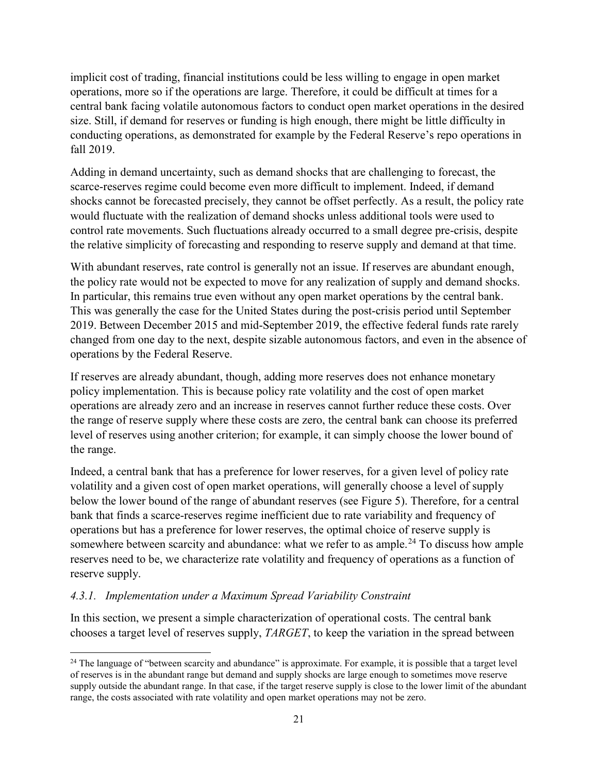implicit cost of trading, financial institutions could be less willing to engage in open market operations, more so if the operations are large. Therefore, it could be difficult at times for a central bank facing volatile autonomous factors to conduct open market operations in the desired size. Still, if demand for reserves or funding is high enough, there might be little difficulty in conducting operations, as demonstrated for example by the Federal Reserve's repo operations in fall 2019.

Adding in demand uncertainty, such as demand shocks that are challenging to forecast, the scarce-reserves regime could become even more difficult to implement. Indeed, if demand shocks cannot be forecasted precisely, they cannot be offset perfectly. As a result, the policy rate would fluctuate with the realization of demand shocks unless additional tools were used to control rate movements. Such fluctuations already occurred to a small degree pre-crisis, despite the relative simplicity of forecasting and responding to reserve supply and demand at that time.

With abundant reserves, rate control is generally not an issue. If reserves are abundant enough, the policy rate would not be expected to move for any realization of supply and demand shocks. In particular, this remains true even without any open market operations by the central bank. This was generally the case for the United States during the post-crisis period until September 2019. Between December 2015 and mid-September 2019, the effective federal funds rate rarely changed from one day to the next, despite sizable autonomous factors, and even in the absence of operations by the Federal Reserve.

If reserves are already abundant, though, adding more reserves does not enhance monetary policy implementation. This is because policy rate volatility and the cost of open market operations are already zero and an increase in reserves cannot further reduce these costs. Over the range of reserve supply where these costs are zero, the central bank can choose its preferred level of reserves using another criterion; for example, it can simply choose the lower bound of the range.

Indeed, a central bank that has a preference for lower reserves, for a given level of policy rate volatility and a given cost of open market operations, will generally choose a level of supply below the lower bound of the range of abundant reserves (see [Figure 5\)](#page-14-0). Therefore, for a central bank that finds a scarce-reserves regime inefficient due to rate variability and frequency of operations but has a preference for lower reserves, the optimal choice of reserve supply is somewhere between scarcity and abundance: what we refer to as ample.<sup>[24](#page-21-0)</sup> To discuss how ample reserves need to be, we characterize rate volatility and frequency of operations as a function of reserve supply.

# *4.3.1. Implementation under a Maximum Spread Variability Constraint*

l

In this section, we present a simple characterization of operational costs. The central bank chooses a target level of reserves supply, *TARGET*, to keep the variation in the spread between

<span id="page-21-0"></span><sup>&</sup>lt;sup>24</sup> The language of "between scarcity and abundance" is approximate. For example, it is possible that a target level of reserves is in the abundant range but demand and supply shocks are large enough to sometimes move reserve supply outside the abundant range. In that case, if the target reserve supply is close to the lower limit of the abundant range, the costs associated with rate volatility and open market operations may not be zero.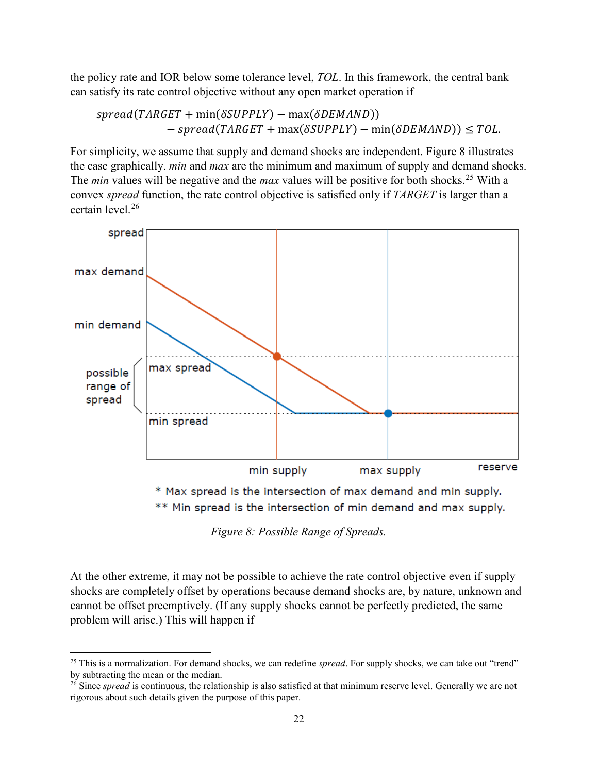the policy rate and IOR below some tolerance level, *TOL*. In this framework, the central bank can satisfy its rate control objective without any open market operation if

 $spread(TARGET + min(\delta SUPPLY) - max(\delta DEMAND))$  $-$  spread(TARGET + max( $\delta$ SUPPLY) – min( $\delta$ DEMAND))  $\leq$  TOL.

For simplicity, we assume that supply and demand shocks are independent. [Figure 8](#page-22-0) illustrates the case graphically. *min* and *max* are the minimum and maximum of supply and demand shocks. The *min* values will be negative and the *max* values will be positive for both shocks.<sup>[25](#page-22-1)</sup> With a convex *spread* function, the rate control objective is satisfied only if *TARGET* is larger than a certain level. [26](#page-22-2)



*Figure 8: Possible Range of Spreads.*

<span id="page-22-0"></span>At the other extreme, it may not be possible to achieve the rate control objective even if supply shocks are completely offset by operations because demand shocks are, by nature, unknown and cannot be offset preemptively. (If any supply shocks cannot be perfectly predicted, the same problem will arise.) This will happen if

l

<span id="page-22-1"></span><sup>25</sup> This is a normalization. For demand shocks, we can redefine *spread*. For supply shocks, we can take out "trend" by subtracting the mean or the median.

<span id="page-22-2"></span><sup>&</sup>lt;sup>26</sup> Since *spread* is continuous, the relationship is also satisfied at that minimum reserve level. Generally we are not rigorous about such details given the purpose of this paper.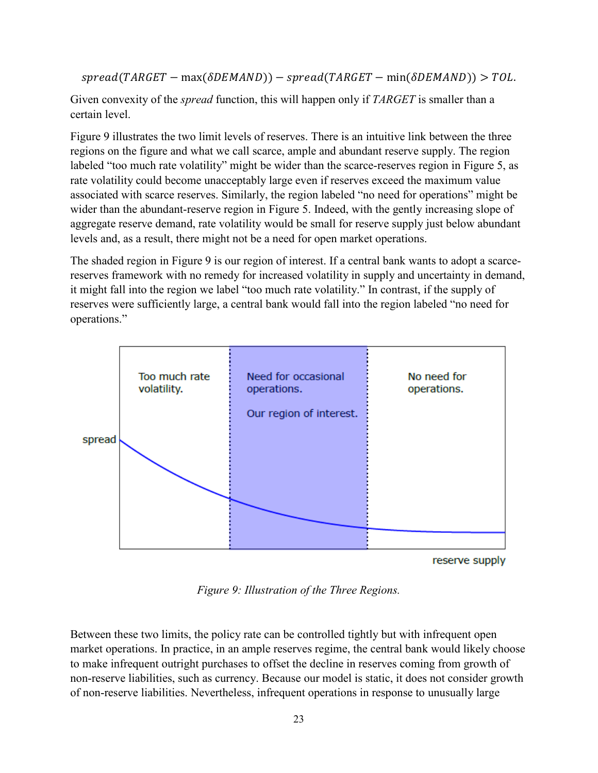```
spread(TARGET - max(\delta DEMAND)) - spread(TARGET - min(\delta DEMAND)) > TOL.
```
Given convexity of the *spread* function, this will happen only if *TARGET* is smaller than a certain level.

[Figure 9](#page-23-0) illustrates the two limit levels of reserves. There is an intuitive link between the three regions on the figure and what we call scarce, ample and abundant reserve supply. The region labeled "too much rate volatility" might be wider than the scarce-reserves region in [Figure 5,](#page-14-0) as rate volatility could become unacceptably large even if reserves exceed the maximum value associated with scarce reserves. Similarly, the region labeled "no need for operations" might be wider than the abundant-reserve region in Figure 5. Indeed, with the gently increasing slope of aggregate reserve demand, rate volatility would be small for reserve supply just below abundant levels and, as a result, there might not be a need for open market operations.

The shaded region in Figure 9 is our region of interest. If a central bank wants to adopt a scarcereserves framework with no remedy for increased volatility in supply and uncertainty in demand, it might fall into the region we label "too much rate volatility." In contrast, if the supply of reserves were sufficiently large, a central bank would fall into the region labeled "no need for operations."



reserve supply

*Figure 9: Illustration of the Three Regions.*

<span id="page-23-0"></span>Between these two limits, the policy rate can be controlled tightly but with infrequent open market operations. In practice, in an ample reserves regime, the central bank would likely choose to make infrequent outright purchases to offset the decline in reserves coming from growth of non-reserve liabilities, such as currency. Because our model is static, it does not consider growth of non-reserve liabilities. Nevertheless, infrequent operations in response to unusually large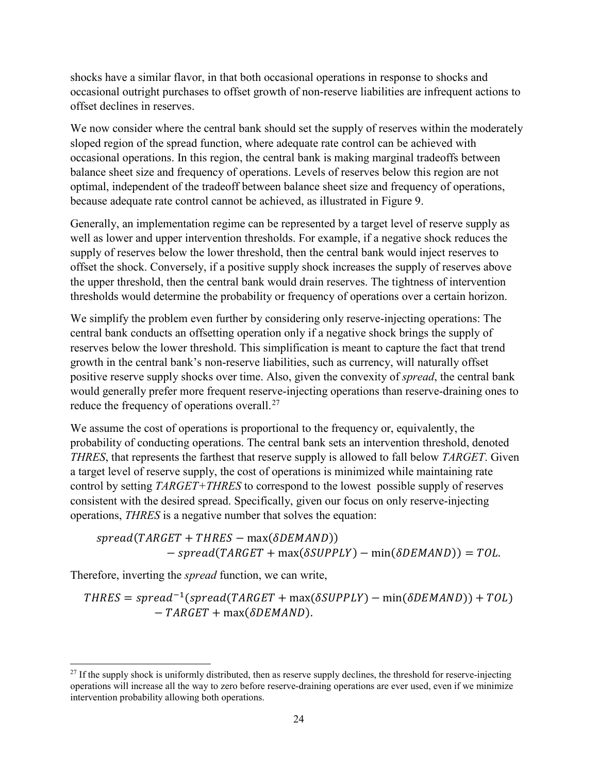shocks have a similar flavor, in that both occasional operations in response to shocks and occasional outright purchases to offset growth of non-reserve liabilities are infrequent actions to offset declines in reserves.

We now consider where the central bank should set the supply of reserves within the moderately sloped region of the spread function, where adequate rate control can be achieved with occasional operations. In this region, the central bank is making marginal tradeoffs between balance sheet size and frequency of operations. Levels of reserves below this region are not optimal, independent of the tradeoff between balance sheet size and frequency of operations, because adequate rate control cannot be achieved, as illustrated in Figure 9.

Generally, an implementation regime can be represented by a target level of reserve supply as well as lower and upper intervention thresholds. For example, if a negative shock reduces the supply of reserves below the lower threshold, then the central bank would inject reserves to offset the shock. Conversely, if a positive supply shock increases the supply of reserves above the upper threshold, then the central bank would drain reserves. The tightness of intervention thresholds would determine the probability or frequency of operations over a certain horizon.

We simplify the problem even further by considering only reserve-injecting operations: The central bank conducts an offsetting operation only if a negative shock brings the supply of reserves below the lower threshold. This simplification is meant to capture the fact that trend growth in the central bank's non-reserve liabilities, such as currency, will naturally offset positive reserve supply shocks over time. Also, given the convexity of *spread*, the central bank would generally prefer more frequent reserve-injecting operations than reserve-draining ones to reduce the frequency of operations overall.<sup>[27](#page-24-0)</sup>

We assume the cost of operations is proportional to the frequency or, equivalently, the probability of conducting operations. The central bank sets an intervention threshold, denoted *THRES*, that represents the farthest that reserve supply is allowed to fall below *TARGET*. Given a target level of reserve supply, the cost of operations is minimized while maintaining rate control by setting *TARGET+THRES* to correspond to the lowest possible supply of reserves consistent with the desired spread. Specifically, given our focus on only reserve-injecting operations, *THRES* is a negative number that solves the equation:

 $spread(TARGET + THRES - max(\delta DEMAND))$  $-pt = s$  (  $TARGE + max(\delta \text{SUPPLY}) - min(\delta \text{DEMAND}) = TOL$ .

Therefore, inverting the *spread* function, we can write,

l

 $THRES = spread^{-1}(spread(TARGET + max(\delta SUPPLY) - min(\delta DEMAND)) + TOL)$  $-TARGET + max(\delta DEMAND).$ 

<span id="page-24-0"></span> $27$  If the supply shock is uniformly distributed, then as reserve supply declines, the threshold for reserve-injecting operations will increase all the way to zero before reserve-draining operations are ever used, even if we minimize intervention probability allowing both operations.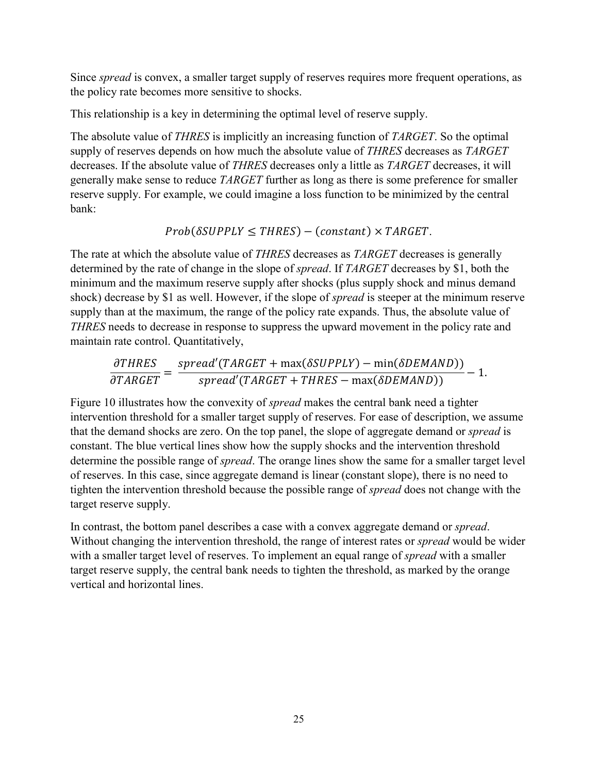Since *spread* is convex, a smaller target supply of reserves requires more frequent operations, as the policy rate becomes more sensitive to shocks.

This relationship is a key in determining the optimal level of reserve supply.

The absolute value of *THRES* is implicitly an increasing function of *TARGET*. So the optimal supply of reserves depends on how much the absolute value of *THRES* decreases as *TARGET* decreases. If the absolute value of *THRES* decreases only a little as *TARGET* decreases, it will generally make sense to reduce *TARGET* further as long as there is some preference for smaller reserve supply. For example, we could imagine a loss function to be minimized by the central bank:

 $Prob(\delta \text{SUPPLY} \leq \text{THRES}) - (constant) \times \text{TARGET}.$ 

The rate at which the absolute value of *THRES* decreases as *TARGET* decreases is generally determined by the rate of change in the slope of *spread*. If *TARGET* decreases by \$1, both the minimum and the maximum reserve supply after shocks (plus supply shock and minus demand shock) decrease by \$1 as well. However, if the slope of *spread* is steeper at the minimum reserve supply than at the maximum, the range of the policy rate expands. Thus, the absolute value of *THRES* needs to decrease in response to suppress the upward movement in the policy rate and maintain rate control. Quantitatively,

$$
\frac{\partial THRES}{\partial TARGET} = \frac{spread'(TARGET + \max(\delta SUPPLY) - \min(\delta DEMAND))}{spread'(TARGET + THRES - \max(\delta DEMAND))} - 1.
$$

[Figure 10](#page-26-0) illustrates how the convexity of *spread* makes the central bank need a tighter intervention threshold for a smaller target supply of reserves. For ease of description, we assume that the demand shocks are zero. On the top panel, the slope of aggregate demand or *spread* is constant. The blue vertical lines show how the supply shocks and the intervention threshold determine the possible range of *spread*. The orange lines show the same for a smaller target level of reserves. In this case, since aggregate demand is linear (constant slope), there is no need to tighten the intervention threshold because the possible range of *spread* does not change with the target reserve supply.

In contrast, the bottom panel describes a case with a convex aggregate demand or *spread*. Without changing the intervention threshold, the range of interest rates or *spread* would be wider with a smaller target level of reserves. To implement an equal range of *spread* with a smaller target reserve supply, the central bank needs to tighten the threshold, as marked by the orange vertical and horizontal lines.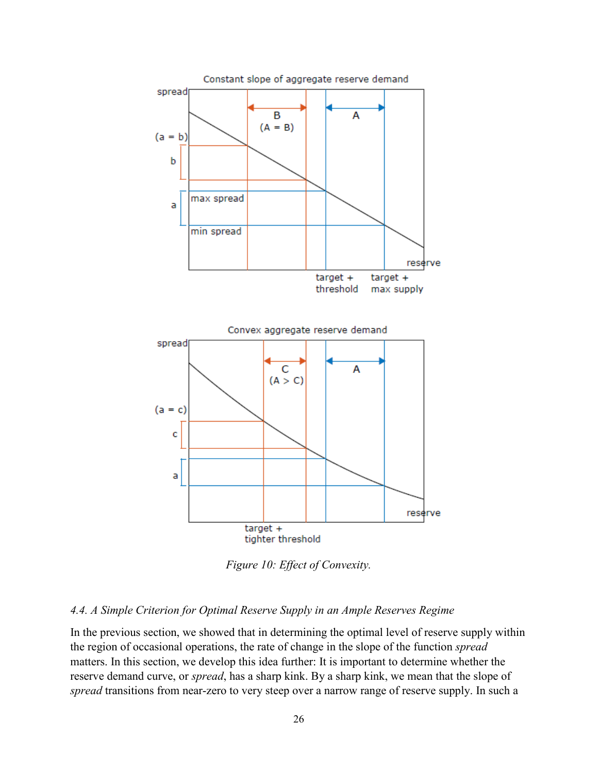

*Figure 10: Effect of Convexity.*

#### <span id="page-26-0"></span>*4.4. A Simple Criterion for Optimal Reserve Supply in an Ample Reserves Regime*

In the previous section, we showed that in determining the optimal level of reserve supply within the region of occasional operations, the rate of change in the slope of the function *spread* matters. In this section, we develop this idea further: It is important to determine whether the reserve demand curve, or *spread*, has a sharp kink. By a sharp kink, we mean that the slope of *spread* transitions from near-zero to very steep over a narrow range of reserve supply. In such a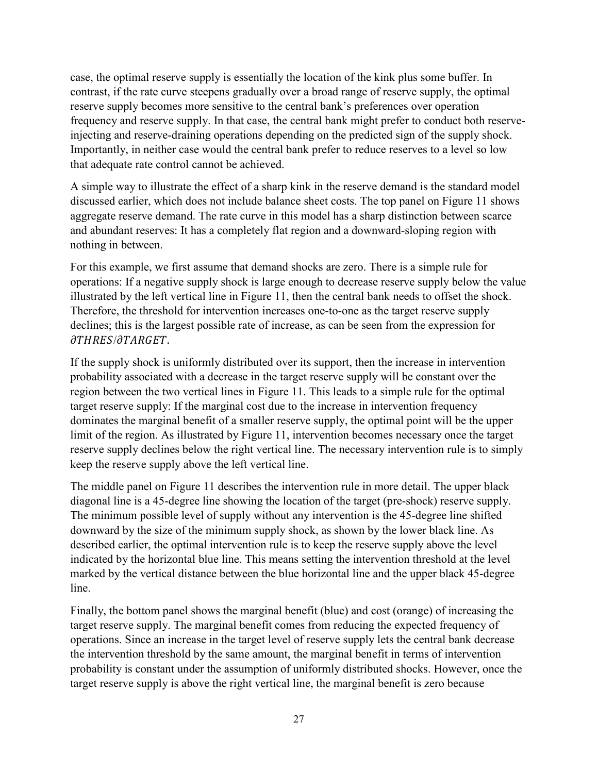case, the optimal reserve supply is essentially the location of the kink plus some buffer. In contrast, if the rate curve steepens gradually over a broad range of reserve supply, the optimal reserve supply becomes more sensitive to the central bank's preferences over operation frequency and reserve supply. In that case, the central bank might prefer to conduct both reserveinjecting and reserve-draining operations depending on the predicted sign of the supply shock. Importantly, in neither case would the central bank prefer to reduce reserves to a level so low that adequate rate control cannot be achieved.

A simple way to illustrate the effect of a sharp kink in the reserve demand is the standard model discussed earlier, which does not include balance sheet costs. The top panel on [Figure 11](#page-28-0) shows aggregate reserve demand. The rate curve in this model has a sharp distinction between scarce and abundant reserves: It has a completely flat region and a downward-sloping region with nothing in between.

For this example, we first assume that demand shocks are zero. There is a simple rule for operations: If a negative supply shock is large enough to decrease reserve supply below the value illustrated by the left vertical line in [Figure 11,](#page-28-0) then the central bank needs to offset the shock. Therefore, the threshold for intervention increases one-to-one as the target reserve supply declines; this is the largest possible rate of increase, as can be seen from the expression for  $\partial THRES/\partial TARGET$ .

If the supply shock is uniformly distributed over its support, then the increase in intervention probability associated with a decrease in the target reserve supply will be constant over the region between the two vertical lines in [Figure 11.](#page-28-0) This leads to a simple rule for the optimal target reserve supply: If the marginal cost due to the increase in intervention frequency dominates the marginal benefit of a smaller reserve supply, the optimal point will be the upper limit of the region. As illustrated by [Figure 11,](#page-28-0) intervention becomes necessary once the target reserve supply declines below the right vertical line. The necessary intervention rule is to simply keep the reserve supply above the left vertical line.

The middle panel on [Figure 11](#page-28-0) describes the intervention rule in more detail. The upper black diagonal line is a 45-degree line showing the location of the target (pre-shock) reserve supply. The minimum possible level of supply without any intervention is the 45-degree line shifted downward by the size of the minimum supply shock, as shown by the lower black line. As described earlier, the optimal intervention rule is to keep the reserve supply above the level indicated by the horizontal blue line. This means setting the intervention threshold at the level marked by the vertical distance between the blue horizontal line and the upper black 45-degree line.

Finally, the bottom panel shows the marginal benefit (blue) and cost (orange) of increasing the target reserve supply. The marginal benefit comes from reducing the expected frequency of operations. Since an increase in the target level of reserve supply lets the central bank decrease the intervention threshold by the same amount, the marginal benefit in terms of intervention probability is constant under the assumption of uniformly distributed shocks. However, once the target reserve supply is above the right vertical line, the marginal benefit is zero because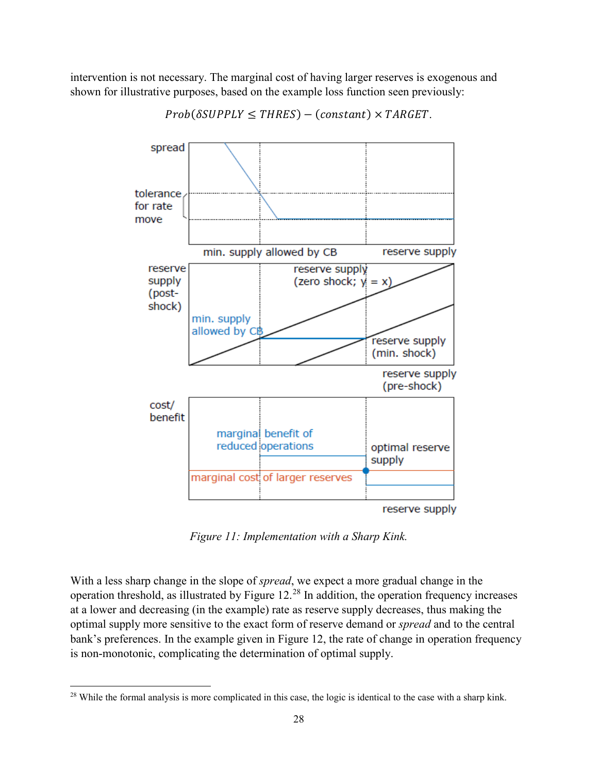intervention is not necessary. The marginal cost of having larger reserves is exogenous and shown for illustrative purposes, based on the example loss function seen previously:



 $Prob(\delta \text{SUPPLY} \leq \text{THRES}) - (constant) \times \text{TARGET}.$ 

*Figure 11: Implementation with a Sharp Kink.*

<span id="page-28-0"></span>With a less sharp change in the slope of *spread*, we expect a more gradual change in the operation threshold, as illustrated by Figure  $12.^{28}$  $12.^{28}$  $12.^{28}$  In addition, the operation frequency increases at a lower and decreasing (in the example) rate as reserve supply decreases, thus making the optimal supply more sensitive to the exact form of reserve demand or *spread* and to the central bank's preferences. In the example given in [Figure 12,](#page-29-0) the rate of change in operation frequency is non-monotonic, complicating the determination of optimal supply.

l

<span id="page-28-1"></span><sup>&</sup>lt;sup>28</sup> While the formal analysis is more complicated in this case, the logic is identical to the case with a sharp kink.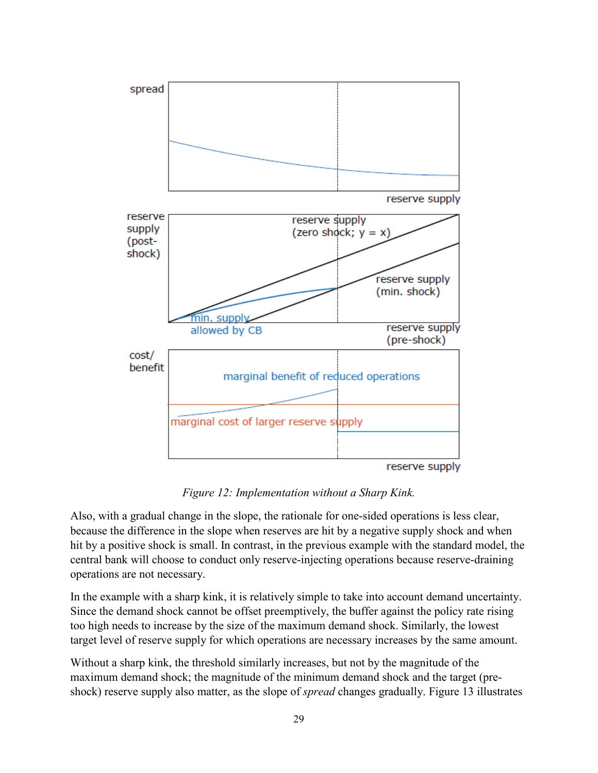

*Figure 12: Implementation without a Sharp Kink.*

<span id="page-29-0"></span>Also, with a gradual change in the slope, the rationale for one-sided operations is less clear, because the difference in the slope when reserves are hit by a negative supply shock and when hit by a positive shock is small. In contrast, in the previous example with the standard model, the central bank will choose to conduct only reserve-injecting operations because reserve-draining operations are not necessary.

In the example with a sharp kink, it is relatively simple to take into account demand uncertainty. Since the demand shock cannot be offset preemptively, the buffer against the policy rate rising too high needs to increase by the size of the maximum demand shock. Similarly, the lowest target level of reserve supply for which operations are necessary increases by the same amount.

Without a sharp kink, the threshold similarly increases, but not by the magnitude of the maximum demand shock; the magnitude of the minimum demand shock and the target (preshock) reserve supply also matter, as the slope of *spread* changes gradually. [Figure 13](#page-30-0) illustrates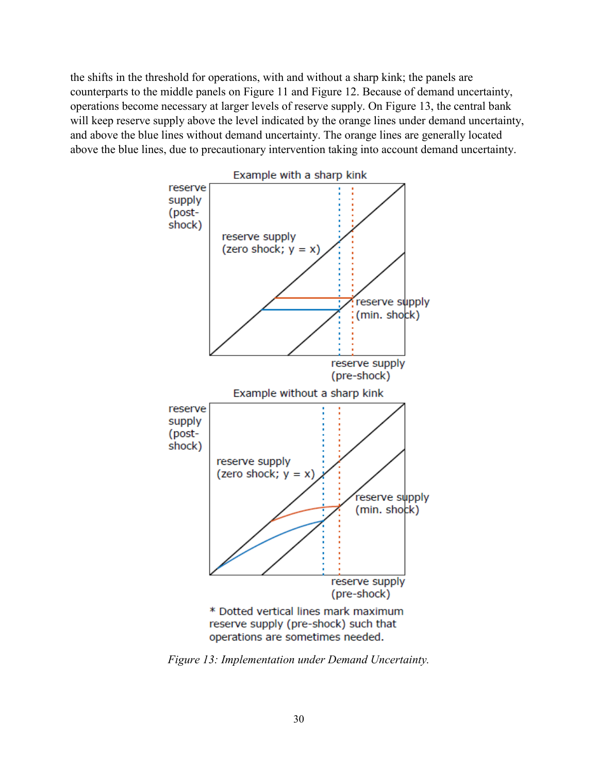the shifts in the threshold for operations, with and without a sharp kink; the panels are counterparts to the middle panels on [Figure 11](#page-28-0) and [Figure 12.](#page-29-0) Because of demand uncertainty, operations become necessary at larger levels of reserve supply. On [Figure 13,](#page-30-0) the central bank will keep reserve supply above the level indicated by the orange lines under demand uncertainty, and above the blue lines without demand uncertainty. The orange lines are generally located above the blue lines, due to precautionary intervention taking into account demand uncertainty.



<span id="page-30-0"></span>*Figure 13: Implementation under Demand Uncertainty.*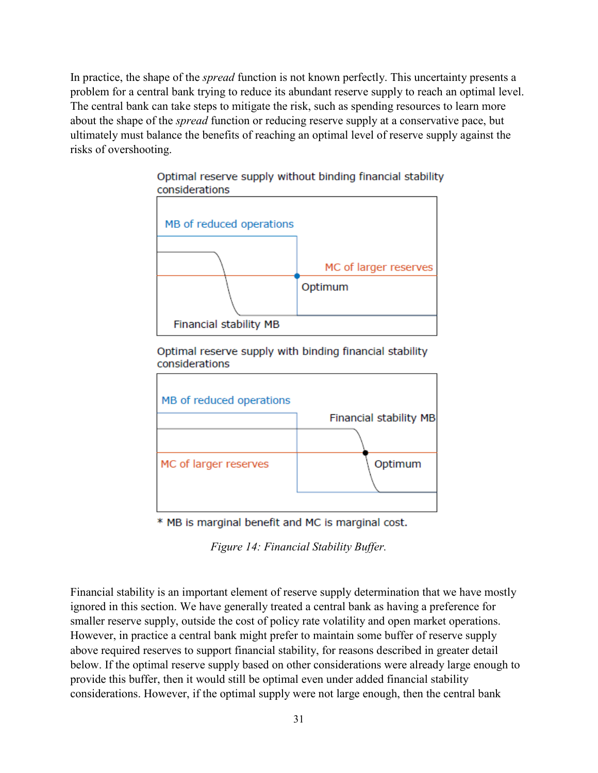In practice, the shape of the *spread* function is not known perfectly. This uncertainty presents a problem for a central bank trying to reduce its abundant reserve supply to reach an optimal level. The central bank can take steps to mitigate the risk, such as spending resources to learn more about the shape of the *spread* function or reducing reserve supply at a conservative pace, but ultimately must balance the benefits of reaching an optimal level of reserve supply against the risks of overshooting.



### Optimal reserve supply without binding financial stability considerations

Optimal reserve supply with binding financial stability considerations

| MB of reduced operations |                        |
|--------------------------|------------------------|
|                          | Financial stability MB |
|                          |                        |
| MC of larger reserves    | Optimum                |
|                          |                        |
|                          |                        |

\* MB is marginal benefit and MC is marginal cost.

*Figure 14: Financial Stability Buffer.*

<span id="page-31-0"></span>Financial stability is an important element of reserve supply determination that we have mostly ignored in this section. We have generally treated a central bank as having a preference for smaller reserve supply, outside the cost of policy rate volatility and open market operations. However, in practice a central bank might prefer to maintain some buffer of reserve supply above required reserves to support financial stability, for reasons described in greater detail below. If the optimal reserve supply based on other considerations were already large enough to provide this buffer, then it would still be optimal even under added financial stability considerations. However, if the optimal supply were not large enough, then the central bank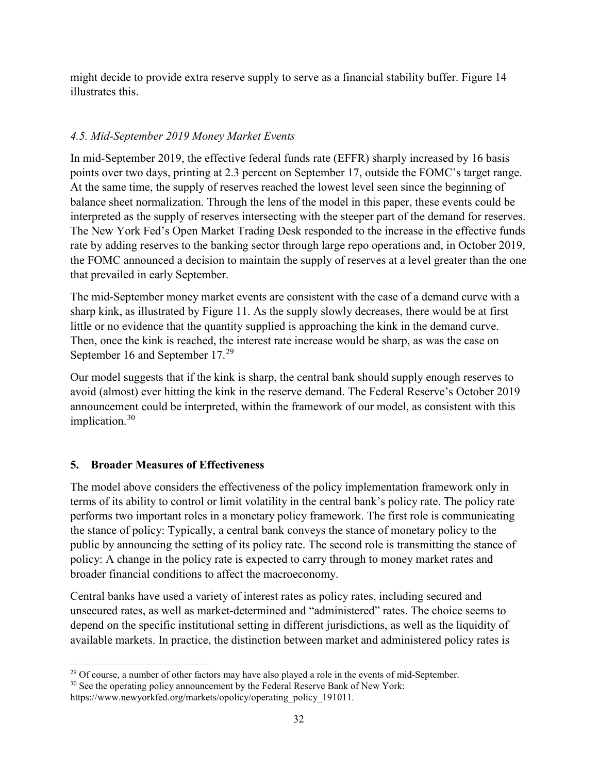might decide to provide extra reserve supply to serve as a financial stability buffer. [Figure 14](#page-31-0) illustrates this.

# *4.5. Mid-September 2019 Money Market Events*

In mid-September 2019, the effective federal funds rate (EFFR) sharply increased by 16 basis points over two days, printing at 2.3 percent on September 17, outside the FOMC's target range. At the same time, the supply of reserves reached the lowest level seen since the beginning of balance sheet normalization. Through the lens of the model in this paper, these events could be interpreted as the supply of reserves intersecting with the steeper part of the demand for reserves. The New York Fed's Open Market Trading Desk responded to the increase in the effective funds rate by adding reserves to the banking sector through large repo operations and, in October 2019, the FOMC announced a decision to maintain the supply of reserves at a level greater than the one that prevailed in early September.

The mid-September money market events are consistent with the case of a demand curve with a sharp kink, as illustrated by Figure 11. As the supply slowly decreases, there would be at first little or no evidence that the quantity supplied is approaching the kink in the demand curve. Then, once the kink is reached, the interest rate increase would be sharp, as was the case on September 16 and September 17.[29](#page-32-0)

Our model suggests that if the kink is sharp, the central bank should supply enough reserves to avoid (almost) ever hitting the kink in the reserve demand. The Federal Reserve's October 2019 announcement could be interpreted, within the framework of our model, as consistent with this implication. [30](#page-32-1)

# **5. Broader Measures of Effectiveness**

The model above considers the effectiveness of the policy implementation framework only in terms of its ability to control or limit volatility in the central bank's policy rate. The policy rate performs two important roles in a monetary policy framework. The first role is communicating the stance of policy: Typically, a central bank conveys the stance of monetary policy to the public by announcing the setting of its policy rate. The second role is transmitting the stance of policy: A change in the policy rate is expected to carry through to money market rates and broader financial conditions to affect the macroeconomy.

Central banks have used a variety of interest rates as policy rates, including secured and unsecured rates, as well as market-determined and "administered" rates. The choice seems to depend on the specific institutional setting in different jurisdictions, as well as the liquidity of available markets. In practice, the distinction between market and administered policy rates is

<span id="page-32-0"></span>l  $29$  Of course, a number of other factors may have also played a role in the events of mid-September.

<span id="page-32-1"></span><sup>&</sup>lt;sup>30</sup> See the operating policy announcement by the Federal Reserve Bank of New York:

https://www.newyorkfed.org/markets/opolicy/operating\_policy\_191011.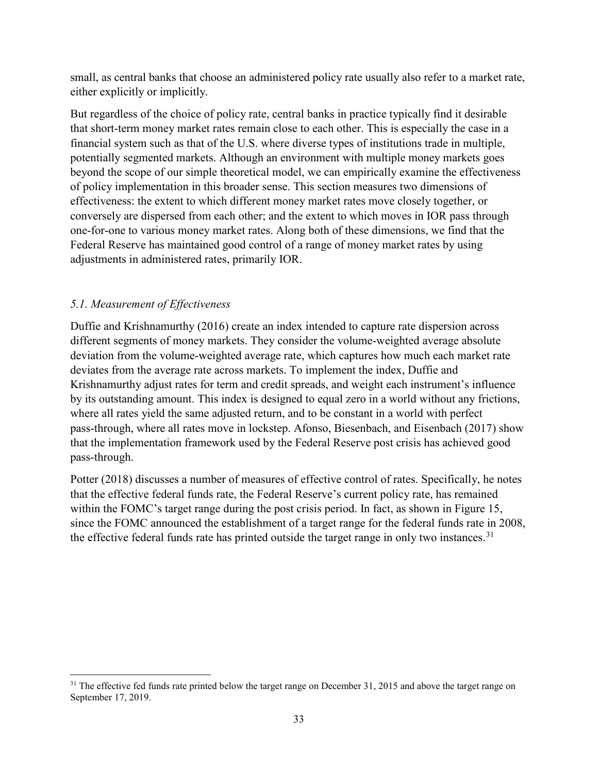small, as central banks that choose an administered policy rate usually also refer to a market rate, either explicitly or implicitly.

But regardless of the choice of policy rate, central banks in practice typically find it desirable that short-term money market rates remain close to each other. This is especially the case in a financial system such as that of the U.S. where diverse types of institutions trade in multiple, potentially segmented markets. Although an environment with multiple money markets goes beyond the scope of our simple theoretical model, we can empirically examine the effectiveness of policy implementation in this broader sense. This section measures two dimensions of effectiveness: the extent to which different money market rates move closely together, or conversely are dispersed from each other; and the extent to which moves in IOR pass through one-for-one to various money market rates. Along both of these dimensions, we find that the Federal Reserve has maintained good control of a range of money market rates by using adjustments in administered rates, primarily IOR.

# *5.1. Measurement of Effectiveness*

Duffie and Krishnamurthy (2016) create an index intended to capture rate dispersion across different segments of money markets. They consider the volume-weighted average absolute deviation from the volume-weighted average rate, which captures how much each market rate deviates from the average rate across markets. To implement the index, Duffie and Krishnamurthy adjust rates for term and credit spreads, and weight each instrument's influence by its outstanding amount. This index is designed to equal zero in a world without any frictions, where all rates yield the same adjusted return, and to be constant in a world with perfect pass-through, where all rates move in lockstep. Afonso, Biesenbach, and Eisenbach (2017) show that the implementation framework used by the Federal Reserve post crisis has achieved good pass-through.

Potter (2018) discusses a number of measures of effective control of rates. Specifically, he notes that the effective federal funds rate, the Federal Reserve's current policy rate, has remained within the FOMC's target range during the post crisis period. In fact, as shown in [Figure 15,](#page-34-0) since the FOMC announced the establishment of a target range for the federal funds rate in 2008, the effective federal funds rate has printed outside the target range in only two instances.<sup>[31](#page-33-0)</sup>

<span id="page-33-0"></span>l  $31$  The effective fed funds rate printed below the target range on December 31, 2015 and above the target range on September 17, 2019.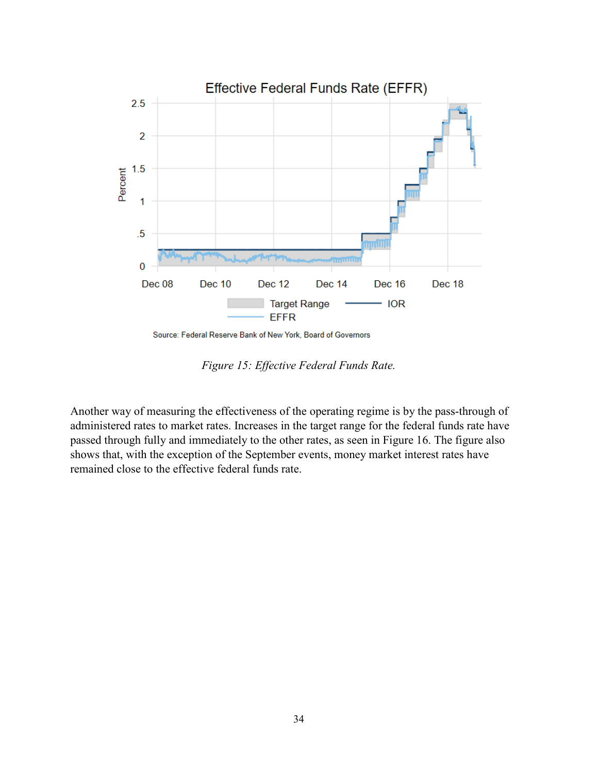

Source: Federal Reserve Bank of New York, Board of Governors

*Figure 15: Effective Federal Funds Rate.*

<span id="page-34-0"></span>Another way of measuring the effectiveness of the operating regime is by the pass-through of administered rates to market rates. Increases in the target range for the federal funds rate have passed through fully and immediately to the other rates, as seen in [Figure 16.](#page-35-0) The figure also shows that, with the exception of the September events, money market interest rates have remained close to the effective federal funds rate.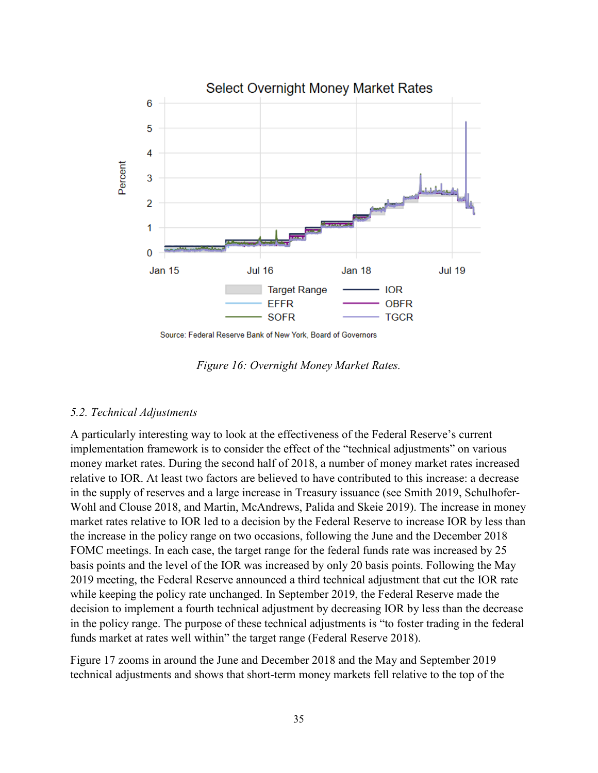

Source: Federal Reserve Bank of New York, Board of Governors

*Figure 16: Overnight Money Market Rates.*

#### <span id="page-35-0"></span>*5.2. Technical Adjustments*

A particularly interesting way to look at the effectiveness of the Federal Reserve's current implementation framework is to consider the effect of the "technical adjustments" on various money market rates. During the second half of 2018, a number of money market rates increased relative to IOR. At least two factors are believed to have contributed to this increase: a decrease in the supply of reserves and a large increase in Treasury issuance (see Smith 2019, Schulhofer-Wohl and Clouse 2018, and Martin, McAndrews, Palida and Skeie 2019). The increase in money market rates relative to IOR led to a decision by the Federal Reserve to increase IOR by less than the increase in the policy range on two occasions, following the June and the December 2018 FOMC meetings. In each case, the target range for the federal funds rate was increased by 25 basis points and the level of the IOR was increased by only 20 basis points. Following the May 2019 meeting, the Federal Reserve announced a third technical adjustment that cut the IOR rate while keeping the policy rate unchanged. In September 2019, the Federal Reserve made the decision to implement a fourth technical adjustment by decreasing IOR by less than the decrease in the policy range. The purpose of these technical adjustments is "to foster trading in the federal funds market at rates well within" the target range (Federal Reserve 2018).

[Figure 17](#page-36-0) zooms in around the June and December 2018 and the May and September 2019 technical adjustments and shows that short-term money markets fell relative to the top of the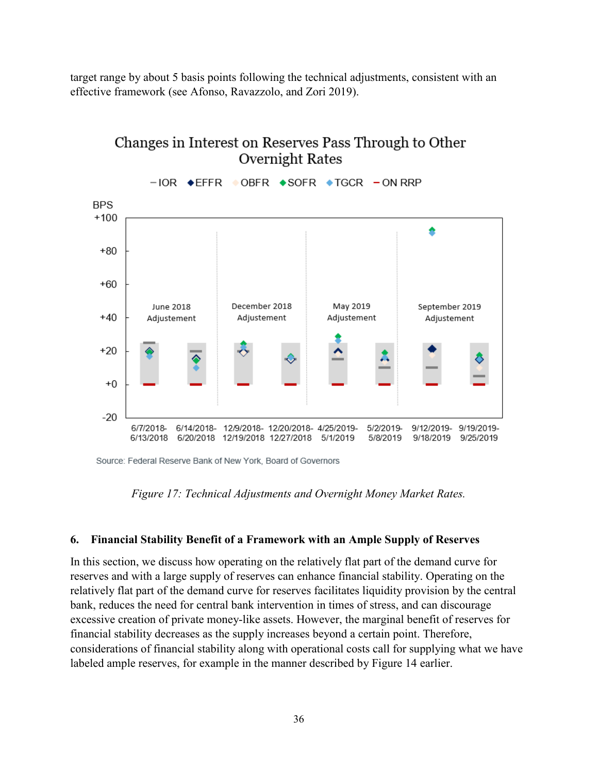target range by about 5 basis points following the technical adjustments, consistent with an effective framework (see Afonso, Ravazzolo, and Zori 2019).



# Changes in Interest on Reserves Pass Through to Other **Overnight Rates**

<span id="page-36-0"></span>Source: Federal Reserve Bank of New York, Board of Governors

*Figure 17: Technical Adjustments and Overnight Money Market Rates.*

#### **6. Financial Stability Benefit of a Framework with an Ample Supply of Reserves**

In this section, we discuss how operating on the relatively flat part of the demand curve for reserves and with a large supply of reserves can enhance financial stability. Operating on the relatively flat part of the demand curve for reserves facilitates liquidity provision by the central bank, reduces the need for central bank intervention in times of stress, and can discourage excessive creation of private money-like assets. However, the marginal benefit of reserves for financial stability decreases as the supply increases beyond a certain point. Therefore, considerations of financial stability along with operational costs call for supplying what we have labeled ample reserves, for example in the manner described by [Figure 14](#page-31-0) earlier.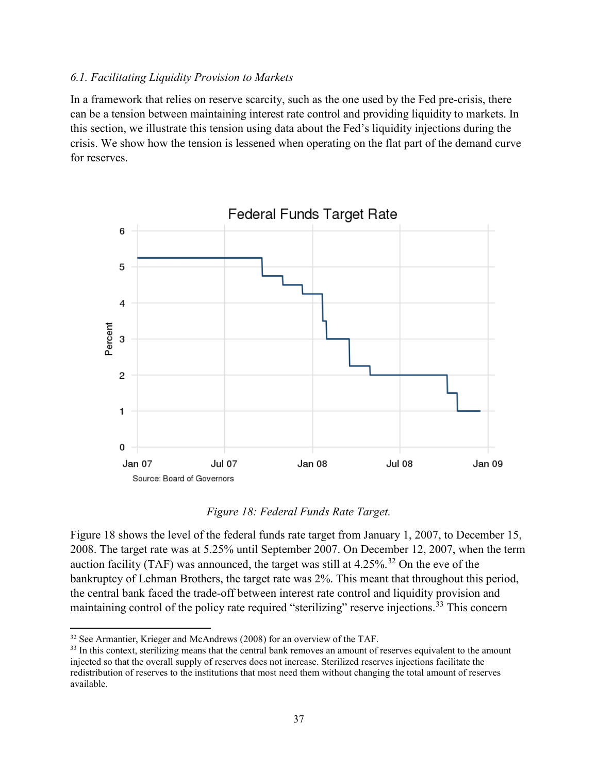#### *6.1. Facilitating Liquidity Provision to Markets*

In a framework that relies on reserve scarcity, such as the one used by the Fed pre-crisis, there can be a tension between maintaining interest rate control and providing liquidity to markets. In this section, we illustrate this tension using data about the Fed's liquidity injections during the crisis. We show how the tension is lessened when operating on the flat part of the demand curve for reserves.



#### *Figure 18: Federal Funds Rate Target.*

<span id="page-37-0"></span>[Figure 18](#page-37-0) shows the level of the federal funds rate target from January 1, 2007, to December 15, 2008. The target rate was at 5.25% until September 2007. On December 12, 2007, when the term auction facility (TAF) was announced, the target was still at  $4.25\%$ .<sup>[32](#page-37-1)</sup> On the eve of the bankruptcy of Lehman Brothers, the target rate was 2%. This meant that throughout this period, the central bank faced the trade-off between interest rate control and liquidity provision and maintaining control of the policy rate required "sterilizing" reserve injections.<sup>[33](#page-37-2)</sup> This concern

 $\overline{\phantom{a}}$ 

<span id="page-37-1"></span><sup>&</sup>lt;sup>32</sup> See Armantier, Krieger and McAndrews (2008) for an overview of the TAF.

<span id="page-37-2"></span><sup>&</sup>lt;sup>33</sup> In this context, sterilizing means that the central bank removes an amount of reserves equivalent to the amount injected so that the overall supply of reserves does not increase. Sterilized reserves injections facilitate the redistribution of reserves to the institutions that most need them without changing the total amount of reserves available.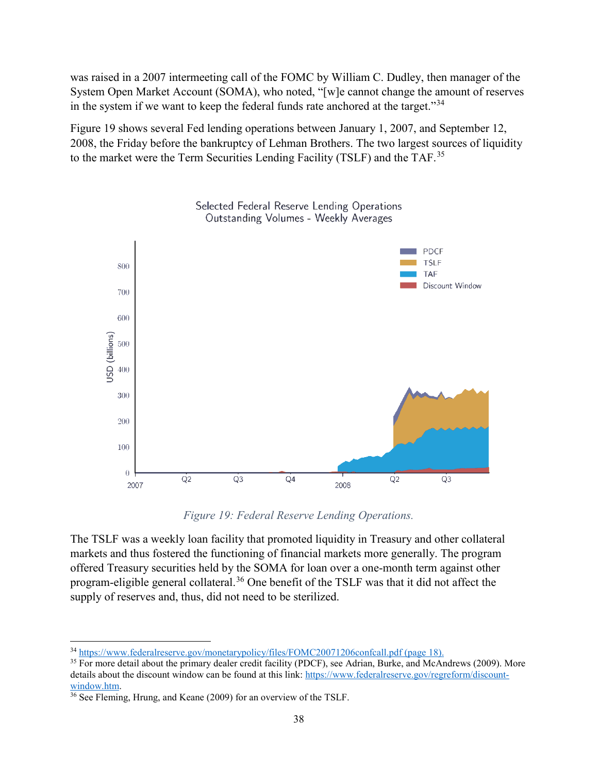was raised in a 2007 intermeeting call of the FOMC by William C. Dudley, then manager of the System Open Market Account (SOMA), who noted, "[w]e cannot change the amount of reserves in the system if we want to keep the federal funds rate anchored at the target."<sup>[34](#page-38-1)</sup>

[Figure 19](#page-38-0) shows several Fed lending operations between January 1, 2007, and September 12, 2008, the Friday before the bankruptcy of Lehman Brothers. The two largest sources of liquidity to the market were the Term Securities Lending Facility (TSLF) and the TAF.<sup>[35](#page-38-2)</sup>





*Figure 19: Federal Reserve Lending Operations.*

<span id="page-38-0"></span>The TSLF was a weekly loan facility that promoted liquidity in Treasury and other collateral markets and thus fostered the functioning of financial markets more generally. The program offered Treasury securities held by the SOMA for loan over a one-month term against other program-eligible general collateral.[36](#page-38-3) One benefit of the TSLF was that it did not affect the supply of reserves and, thus, did not need to be sterilized.

 $\overline{\phantom{a}}$ 

<span id="page-38-1"></span><sup>&</sup>lt;sup>34</sup> <https://www.federalreserve.gov/monetarypolicy/files/FOMC20071206confcall.pdf> (page 18).

<span id="page-38-2"></span><sup>&</sup>lt;sup>35</sup> For more detail about the primary dealer credit facility (PDCF), see Adrian, Burke, and McAndrews (2009). More details about the discount window can be found at this link: [https://www.federalreserve.gov/regreform/discount](https://www.federalreserve.gov/regreform/discount-window.htm)[window.htm.](https://www.federalreserve.gov/regreform/discount-window.htm)

<span id="page-38-3"></span> $\frac{36}{36}$  See Fleming, Hrung, and Keane (2009) for an overview of the TSLF.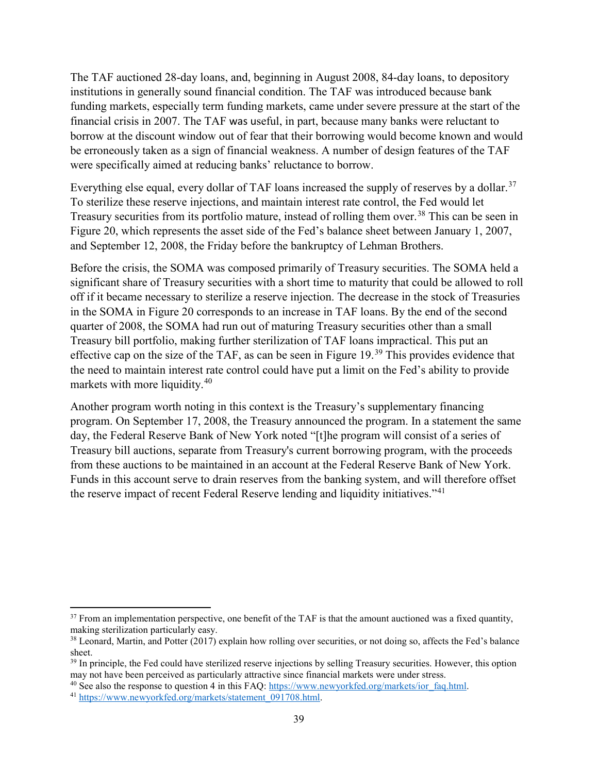The TAF auctioned 28-day loans, and, beginning in August 2008, 84-day loans, to depository institutions in generally sound financial condition. The TAF was introduced because bank funding markets, especially term funding markets, came under severe pressure at the start of the financial crisis in 2007. The TAF was useful, in part, because many banks were reluctant to borrow at the discount window out of fear that their borrowing would become known and would be erroneously taken as a sign of financial weakness. A number of design features of the TAF were specifically aimed at reducing banks' reluctance to borrow.

Everything else equal, every dollar of TAF loans increased the supply of reserves by a dollar.<sup>[37](#page-39-0)</sup> To sterilize these reserve injections, and maintain interest rate control, the Fed would let Treasury securities from its portfolio mature, instead of rolling them over.<sup>[38](#page-39-1)</sup> This can be seen in [Figure 20,](#page-40-0) which represents the asset side of the Fed's balance sheet between January 1, 2007, and September 12, 2008, the Friday before the bankruptcy of Lehman Brothers.

Before the crisis, the SOMA was composed primarily of Treasury securities. The SOMA held a significant share of Treasury securities with a short time to maturity that could be allowed to roll off if it became necessary to sterilize a reserve injection. The decrease in the stock of Treasuries in the SOMA in [Figure 20](#page-40-0) corresponds to an increase in TAF loans. By the end of the second quarter of 2008, the SOMA had run out of maturing Treasury securities other than a small Treasury bill portfolio, making further sterilization of TAF loans impractical. This put an effective cap on the size of the TAF, as can be seen in [Figure 19.](#page-38-0)<sup>[39](#page-39-2)</sup> This provides evidence that the need to maintain interest rate control could have put a limit on the Fed's ability to provide markets with more liquidity.<sup>[40](#page-39-3)</sup>

Another program worth noting in this context is the Treasury's supplementary financing program. On September 17, 2008, the Treasury announced the program. In a statement the same day, the Federal Reserve Bank of New York noted "[t]he program will consist of a series of Treasury bill auctions, separate from Treasury's current borrowing program, with the proceeds from these auctions to be maintained in an account at the Federal Reserve Bank of New York. Funds in this account serve to drain reserves from the banking system, and will therefore offset the reserve impact of recent Federal Reserve lending and liquidity initiatives."<sup>[41](#page-39-4)</sup>

l

<span id="page-39-0"></span> $37$  From an implementation perspective, one benefit of the TAF is that the amount auctioned was a fixed quantity, making sterilization particularly easy.

<span id="page-39-1"></span><sup>38</sup> Leonard, Martin, and Potter (2017) explain how rolling over securities, or not doing so, affects the Fed's balance sheet.

<span id="page-39-2"></span><sup>&</sup>lt;sup>39</sup> In principle, the Fed could have sterilized reserve injections by selling Treasury securities. However, this option may not have been perceived as particularly attractive since financial markets were under stress.

<span id="page-39-4"></span><span id="page-39-3"></span><sup>&</sup>lt;sup>40</sup> See also the response to question 4 in this FAQ: [https://www.newyorkfed.org/markets/ior\\_faq.html.](https://www.newyorkfed.org/markets/ior_faq.html)  $41$  [https://www.newyorkfed.org/markets/statement\\_091708.html.](https://www.newyorkfed.org/markets/statement_091708.html)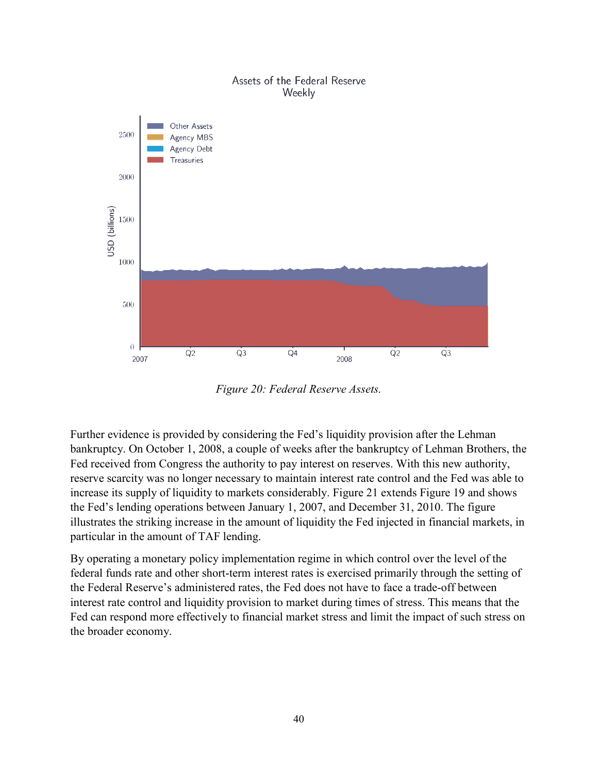#### Assets of the Federal Reserve Weekly



*Figure 20: Federal Reserve Assets.*

<span id="page-40-0"></span>Further evidence is provided by considering the Fed's liquidity provision after the Lehman bankruptcy. On October 1, 2008, a couple of weeks after the bankruptcy of Lehman Brothers, the Fed received from Congress the authority to pay interest on reserves. With this new authority, reserve scarcity was no longer necessary to maintain interest rate control and the Fed was able to increase its supply of liquidity to markets considerably. [Figure 21](#page-41-0) extends [Figure 19](#page-38-0) and shows the Fed's lending operations between January 1, 2007, and December 31, 2010. The figure illustrates the striking increase in the amount of liquidity the Fed injected in financial markets, in particular in the amount of TAF lending.

By operating a monetary policy implementation regime in which control over the level of the federal funds rate and other short-term interest rates is exercised primarily through the setting of the Federal Reserve's administered rates, the Fed does not have to face a trade-off between interest rate control and liquidity provision to market during times of stress. This means that the Fed can respond more effectively to financial market stress and limit the impact of such stress on the broader economy.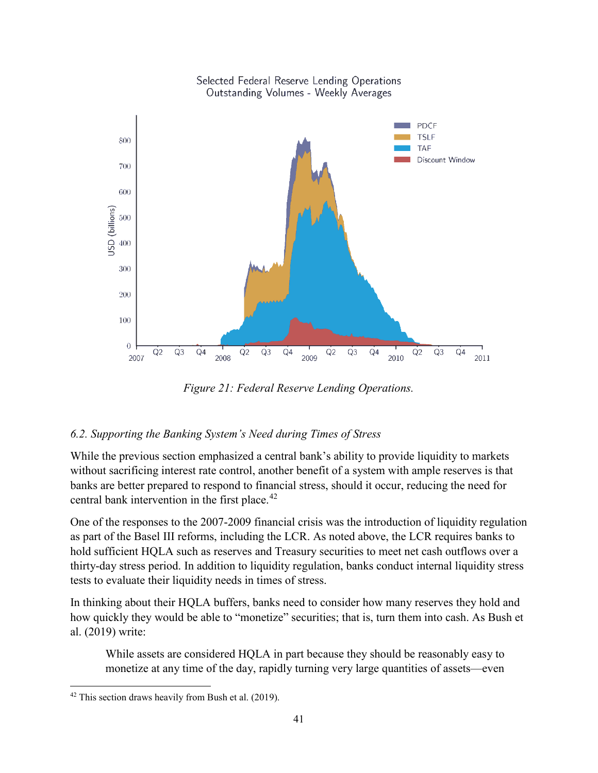

*Figure 21: Federal Reserve Lending Operations.*

#### <span id="page-41-0"></span>*6.2. Supporting the Banking System's Need during Times of Stress*

While the previous section emphasized a central bank's ability to provide liquidity to markets without sacrificing interest rate control, another benefit of a system with ample reserves is that banks are better prepared to respond to financial stress, should it occur, reducing the need for central bank intervention in the first place.<sup>[42](#page-41-1)</sup>

One of the responses to the 2007-2009 financial crisis was the introduction of liquidity regulation as part of the Basel III reforms, including the LCR. As noted above, the LCR requires banks to hold sufficient HQLA such as reserves and Treasury securities to meet net cash outflows over a thirty-day stress period. In addition to liquidity regulation, banks conduct internal liquidity stress tests to evaluate their liquidity needs in times of stress.

In thinking about their HQLA buffers, banks need to consider how many reserves they hold and how quickly they would be able to "monetize" securities; that is, turn them into cash. As Bush et al. (2019) write:

While assets are considered HQLA in part because they should be reasonably easy to monetize at any time of the day, rapidly turning very large quantities of assets—even

l

<span id="page-41-1"></span> $42$  This section draws heavily from Bush et al. (2019).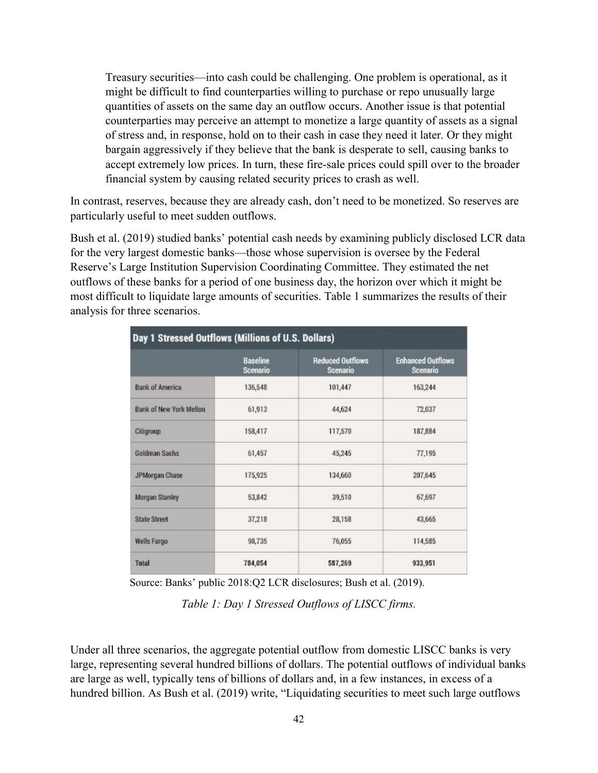Treasury securities—into cash could be challenging. One problem is operational, as it might be difficult to find counterparties willing to purchase or repo unusually large quantities of assets on the same day an outflow occurs. Another issue is that potential counterparties may perceive an attempt to monetize a large quantity of assets as a signal of stress and, in response, hold on to their cash in case they need it later. Or they might bargain aggressively if they believe that the bank is desperate to sell, causing banks to accept extremely low prices. In turn, these fire-sale prices could spill over to the broader financial system by causing related security prices to crash as well.

In contrast, reserves, because they are already cash, don't need to be monetized. So reserves are particularly useful to meet sudden outflows.

Bush et al. (2019) studied banks' potential cash needs by examining publicly disclosed LCR data for the very largest domestic banks—those whose supervision is oversee by the Federal Reserve's Large Institution Supervision Coordinating Committee. They estimated the net outflows of these banks for a period of one business day, the horizon over which it might be most difficult to liquidate large amounts of securities. Table 1 summarizes the results of their analysis for three scenarios.

| Day 1 Stressed Outflows (Millions of U.S. Dollars) |                                    |                                            |                                      |
|----------------------------------------------------|------------------------------------|--------------------------------------------|--------------------------------------|
|                                                    | <b>Baseline</b><br><b>Scenario</b> | <b>Reduced Outflows</b><br><b>Scenario</b> | <b>Enhanced Outflows</b><br>Scenario |
| <b>Bank of America</b>                             | 136,548                            | 101,447                                    | 163,244                              |
| Bank of New York Mellon                            | 61,913                             | 44,624                                     | 72,037                               |
| Citigroup                                          | 158,417                            | 117,570                                    | 187,884                              |
| <b>Goldman Sachs</b>                               | 61,457                             | 45,245                                     | 77,195                               |
| JPMorgan Chase                                     | 175,925                            | 134,660                                    | 207,645                              |
| <b>Morgan Stanley</b>                              | 53,842                             | 39,510                                     | 67,697                               |
| <b>State Street</b>                                | 37,218                             | 28,158                                     | 43,665                               |
| <b>Wells Fargo</b>                                 | 98,735                             | 76,055                                     | 114,585                              |
| <b>Total</b>                                       | 784,054                            | 587,269                                    | 933,951                              |

Source: Banks' public 2018:Q2 LCR disclosures; Bush et al. (2019).

*Table 1: Day 1 Stressed Outflows of LISCC firms.*

Under all three scenarios, the aggregate potential outflow from domestic LISCC banks is very large, representing several hundred billions of dollars. The potential outflows of individual banks are large as well, typically tens of billions of dollars and, in a few instances, in excess of a hundred billion. As Bush et al. (2019) write, "Liquidating securities to meet such large outflows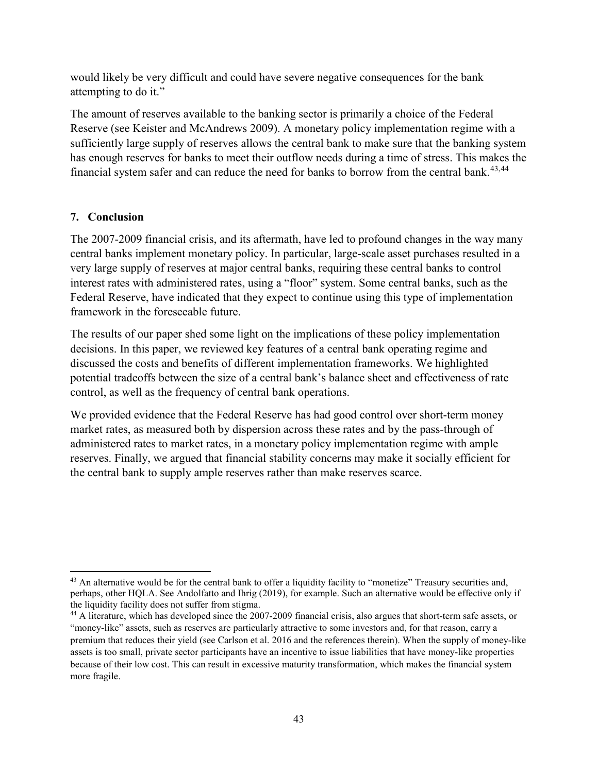would likely be very difficult and could have severe negative consequences for the bank attempting to do it."

The amount of reserves available to the banking sector is primarily a choice of the Federal Reserve (see Keister and McAndrews 2009). A monetary policy implementation regime with a sufficiently large supply of reserves allows the central bank to make sure that the banking system has enough reserves for banks to meet their outflow needs during a time of stress. This makes the financial system safer and can reduce the need for banks to borrow from the central bank.<sup>[43](#page-43-0),[44](#page-43-1)</sup>

# **7. Conclusion**

 $\overline{\phantom{a}}$ 

The 2007-2009 financial crisis, and its aftermath, have led to profound changes in the way many central banks implement monetary policy. In particular, large-scale asset purchases resulted in a very large supply of reserves at major central banks, requiring these central banks to control interest rates with administered rates, using a "floor" system. Some central banks, such as the Federal Reserve, have indicated that they expect to continue using this type of implementation framework in the foreseeable future.

The results of our paper shed some light on the implications of these policy implementation decisions. In this paper, we reviewed key features of a central bank operating regime and discussed the costs and benefits of different implementation frameworks. We highlighted potential tradeoffs between the size of a central bank's balance sheet and effectiveness of rate control, as well as the frequency of central bank operations.

We provided evidence that the Federal Reserve has had good control over short-term money market rates, as measured both by dispersion across these rates and by the pass-through of administered rates to market rates, in a monetary policy implementation regime with ample reserves. Finally, we argued that financial stability concerns may make it socially efficient for the central bank to supply ample reserves rather than make reserves scarce.

<span id="page-43-0"></span> $43$  An alternative would be for the central bank to offer a liquidity facility to "monetize" Treasury securities and, perhaps, other HQLA. See Andolfatto and Ihrig (2019), for example. Such an alternative would be effective only if the liquidity facility does not suffer from stigma.<br><sup>44</sup> A literature, which has developed since the 2007-2009 financial crisis, also argues that short-term safe assets, or

<span id="page-43-1"></span><sup>&</sup>quot;money-like" assets, such as reserves are particularly attractive to some investors and, for that reason, carry a premium that reduces their yield (see Carlson et al. 2016 and the references therein). When the supply of money-like assets is too small, private sector participants have an incentive to issue liabilities that have money-like properties because of their low cost. This can result in excessive maturity transformation, which makes the financial system more fragile.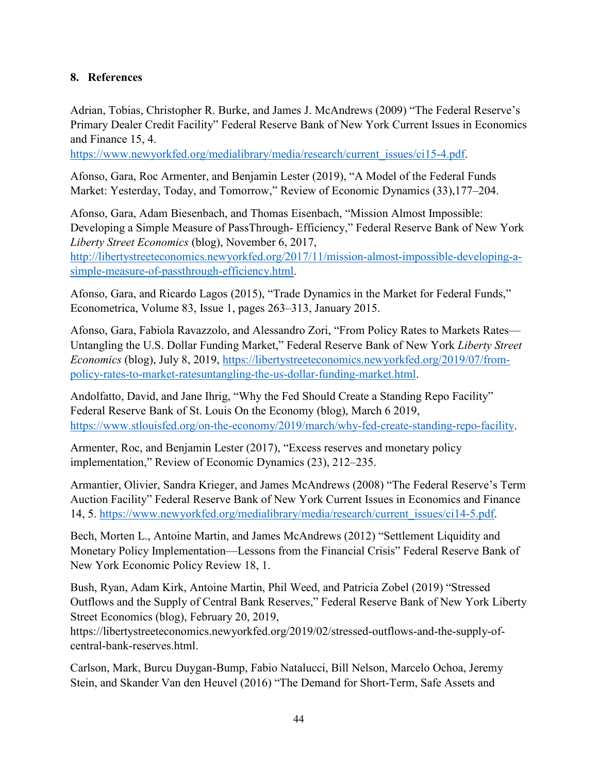# **8. References**

Adrian, Tobias, Christopher R. Burke, and James J. McAndrews (2009) "The Federal Reserve's Primary Dealer Credit Facility" Federal Reserve Bank of New York Current Issues in Economics and Finance 15, 4.

[https://www.newyorkfed.org/medialibrary/media/research/current\\_issues/ci15-4.pdf.](https://www.newyorkfed.org/medialibrary/media/research/current_issues/ci15-4.pdf)

Afonso, Gara, Roc Armenter, and Benjamin Lester (2019), "A Model of the Federal Funds Market: Yesterday, Today, and Tomorrow," Review of Economic Dynamics (33),177–204.

Afonso, Gara, Adam Biesenbach, and Thomas Eisenbach, "Mission Almost Impossible: Developing a Simple Measure of PassThrough- Efficiency," Federal Reserve Bank of New York *Liberty Street Economics* (blog), November 6, 2017,

[http://libertystreeteconomics.newyorkfed.org/2017/11/mission-almost-impossible-developing-a](http://libertystreeteconomics.newyorkfed.org/2017/11/mission-almost-impossible-developing-a-simple-measure-of-passthrough-efficiency.html)[simple-measure-of-passthrough-efficiency.html.](http://libertystreeteconomics.newyorkfed.org/2017/11/mission-almost-impossible-developing-a-simple-measure-of-passthrough-efficiency.html)

Afonso, Gara, and Ricardo Lagos (2015), "Trade Dynamics in the Market for Federal Funds," Econometrica, Volume 83, Issue 1, pages 263–313, January 2015.

Afonso, Gara, Fabiola Ravazzolo, and Alessandro Zori, "From Policy Rates to Markets Rates— Untangling the U.S. Dollar Funding Market," Federal Reserve Bank of New York *Liberty Street Economics* (blog), July 8, 2019, [https://libertystreeteconomics.newyorkfed.org/2019/07/from](https://libertystreeteconomics.newyorkfed.org/2019/07/from-policy-rates-to-market-ratesuntangling-the-us-dollar-funding-market.html)[policy-rates-to-market-ratesuntangling-the-us-dollar-funding-market.html.](https://libertystreeteconomics.newyorkfed.org/2019/07/from-policy-rates-to-market-ratesuntangling-the-us-dollar-funding-market.html)

Andolfatto, David, and Jane Ihrig, "Why the Fed Should Create a Standing Repo Facility" Federal Reserve Bank of St. Louis On the Economy (blog), March 6 2019, [https://www.stlouisfed.org/on-the-economy/2019/march/why-fed-create-standing-repo-facility.](https://www.stlouisfed.org/on-the-economy/2019/march/why-fed-create-standing-repo-facility)

Armenter, Roc, and Benjamin Lester (2017), "Excess reserves and monetary policy implementation," Review of Economic Dynamics (23), 212–235.

Armantier, Olivier, Sandra Krieger, and James McAndrews (2008) "The Federal Reserve's Term Auction Facility" Federal Reserve Bank of New York Current Issues in Economics and Finance 14, 5. [https://www.newyorkfed.org/medialibrary/media/research/current\\_issues/ci14-5.pdf.](https://www.newyorkfed.org/medialibrary/media/research/current_issues/ci14-5.pdf)

Bech, Morten L., Antoine Martin, and James McAndrews (2012) "Settlement Liquidity and Monetary Policy Implementation—Lessons from the Financial Crisis" Federal Reserve Bank of New York Economic Policy Review 18, 1.

Bush, Ryan, Adam Kirk, Antoine Martin, Phil Weed, and Patricia Zobel (2019) "Stressed Outflows and the Supply of Central Bank Reserves," Federal Reserve Bank of New York Liberty Street Economics (blog), February 20, 2019,

https://libertystreeteconomics.newyorkfed.org/2019/02/stressed-outflows-and-the-supply-ofcentral-bank-reserves.html.

Carlson, Mark, Burcu Duygan-Bump, Fabio Natalucci, Bill Nelson, Marcelo Ochoa, Jeremy Stein, and Skander Van den Heuvel (2016) "The Demand for Short-Term, Safe Assets and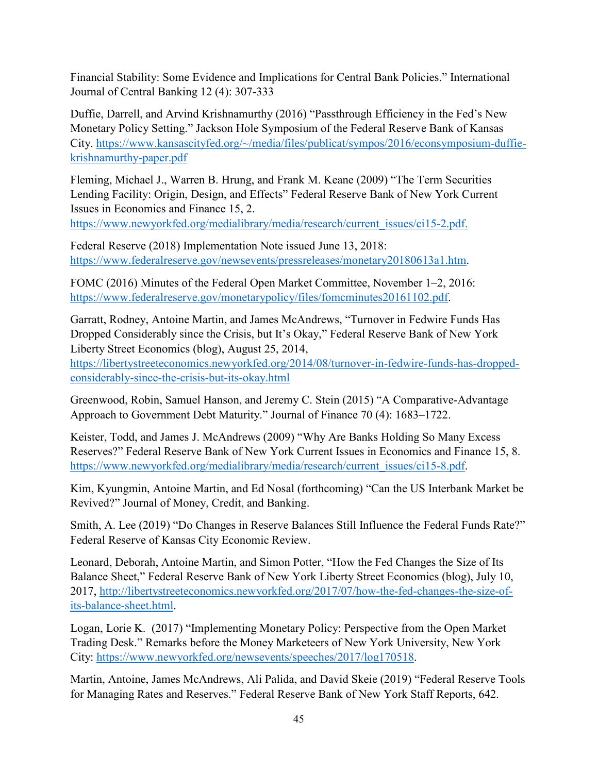Financial Stability: Some Evidence and Implications for Central Bank Policies." International Journal of Central Banking 12 (4): 307-333

Duffie, Darrell, and Arvind Krishnamurthy (2016) "Passthrough Efficiency in the Fed's New Monetary Policy Setting." Jackson Hole Symposium of the Federal Reserve Bank of Kansas City. [https://www.kansascityfed.org/~/media/files/publicat/sympos/2016/econsymposium-duffie](https://www.kansascityfed.org/%7E/media/files/publicat/sympos/2016/econsymposium-duffie-krishnamurthy-paper.pdf)[krishnamurthy-paper.pdf](https://www.kansascityfed.org/%7E/media/files/publicat/sympos/2016/econsymposium-duffie-krishnamurthy-paper.pdf)

Fleming, Michael J., Warren B. Hrung, and Frank M. Keane (2009) "The Term Securities Lending Facility: Origin, Design, and Effects" Federal Reserve Bank of New York Current Issues in Economics and Finance 15, 2.

[https://www.newyorkfed.org/medialibrary/media/research/current\\_issues/ci15-2.pdf.](https://www.newyorkfed.org/medialibrary/media/research/current_issues/ci15-2.pdf)

Federal Reserve (2018) Implementation Note issued June 13, 2018: [https://www.federalreserve.gov/newsevents/pressreleases/monetary20180613a1.htm.](https://www.federalreserve.gov/newsevents/pressreleases/monetary20180613a1.htm)

FOMC (2016) Minutes of the Federal Open Market Committee, November 1–2, 2016: [https://www.federalreserve.gov/monetarypolicy/files/fomcminutes20161102.pdf.](https://www.federalreserve.gov/monetarypolicy/files/fomcminutes20161102.pdf)

Garratt, Rodney, Antoine Martin, and James McAndrews, "Turnover in Fedwire Funds Has Dropped Considerably since the Crisis, but It's Okay," Federal Reserve Bank of New York Liberty Street Economics (blog), August 25, 2014,

[https://libertystreeteconomics.newyorkfed.org/2014/08/turnover-in-fedwire-funds-has-dropped](https://libertystreeteconomics.newyorkfed.org/2014/08/turnover-in-fedwire-funds-has-dropped-considerably-since-the-crisis-but-its-okay.html)[considerably-since-the-crisis-but-its-okay.html](https://libertystreeteconomics.newyorkfed.org/2014/08/turnover-in-fedwire-funds-has-dropped-considerably-since-the-crisis-but-its-okay.html)

Greenwood, Robin, Samuel Hanson, and Jeremy C. Stein (2015) "A Comparative-Advantage Approach to Government Debt Maturity." Journal of Finance 70 (4): 1683–1722.

Keister, Todd, and James J. McAndrews (2009) "Why Are Banks Holding So Many Excess Reserves?" Federal Reserve Bank of New York Current Issues in Economics and Finance 15, 8. [https://www.newyorkfed.org/medialibrary/media/research/current\\_issues/ci15-8.pdf.](https://www.newyorkfed.org/medialibrary/media/research/current_issues/ci15-8.pdf)

Kim, Kyungmin, Antoine Martin, and Ed Nosal (forthcoming) "Can the US Interbank Market be Revived?" Journal of Money, Credit, and Banking.

Smith, A. Lee (2019) "Do Changes in Reserve Balances Still Influence the Federal Funds Rate?" Federal Reserve of Kansas City Economic Review.

Leonard, Deborah, Antoine Martin, and Simon Potter, "How the Fed Changes the Size of Its Balance Sheet," Federal Reserve Bank of New York Liberty Street Economics (blog), July 10, 2017, [http://libertystreeteconomics.newyorkfed.org/2017/07/how-the-fed-changes-the-size-of](http://libertystreeteconomics.newyorkfed.org/2017/07/how-the-fed-changes-the-size-of-its-balance-sheet.html)[its-balance-sheet.html.](http://libertystreeteconomics.newyorkfed.org/2017/07/how-the-fed-changes-the-size-of-its-balance-sheet.html)

Logan, Lorie K. (2017) "Implementing Monetary Policy: Perspective from the Open Market Trading Desk." Remarks before the Money Marketeers of New York University, New York City: [https://www.newyorkfed.org/newsevents/speeches/2017/log170518.](https://www.newyorkfed.org/newsevents/speeches/2017/log170518)

Martin, Antoine, James McAndrews, Ali Palida, and David Skeie (2019) "Federal Reserve Tools for Managing Rates and Reserves." Federal Reserve Bank of New York Staff Reports, 642.